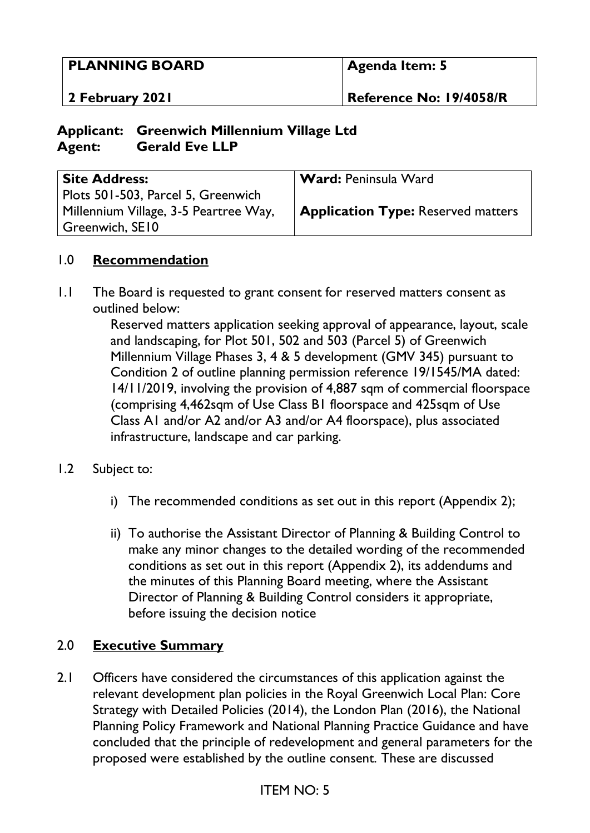### **PLANNING BOARD**

**2 February 2021** 

**Reference No: 19/4058/R**

### **Applicant: Greenwich Millennium Village Ltd Agent: Gerald Eve LLP**

| <b>Site Address:</b>                  | <b>Ward: Peninsula Ward</b>               |
|---------------------------------------|-------------------------------------------|
| Plots 501-503, Parcel 5, Greenwich    |                                           |
| Millennium Village, 3-5 Peartree Way, | <b>Application Type:</b> Reserved matters |
| Greenwich, SE10                       |                                           |

### 1.0 **Recommendation**

1.1 The Board is requested to grant consent for reserved matters consent as outlined below:

> Reserved matters application seeking approval of appearance, layout, scale and landscaping, for Plot 501, 502 and 503 (Parcel 5) of Greenwich Millennium Village Phases 3, 4 & 5 development (GMV 345) pursuant to Condition 2 of outline planning permission reference 19/1545/MA dated: 14/11/2019, involving the provision of 4,887 sqm of commercial floorspace (comprising 4,462sqm of Use Class B1 floorspace and 425sqm of Use Class A1 and/or A2 and/or A3 and/or A4 floorspace), plus associated infrastructure, landscape and car parking.

#### 1.2 Subject to:

- i) The recommended conditions as set out in this report (Appendix 2);
- ii) To authorise the Assistant Director of Planning & Building Control to make any minor changes to the detailed wording of the recommended conditions as set out in this report (Appendix 2), its addendums and the minutes of this Planning Board meeting, where the Assistant Director of Planning & Building Control considers it appropriate, before issuing the decision notice

### 2.0 **Executive Summary**

2.1 Officers have considered the circumstances of this application against the relevant development plan policies in the Royal Greenwich Local Plan: Core Strategy with Detailed Policies (2014), the London Plan (2016), the National Planning Policy Framework and National Planning Practice Guidance and have concluded that the principle of redevelopment and general parameters for the proposed were established by the outline consent. These are discussed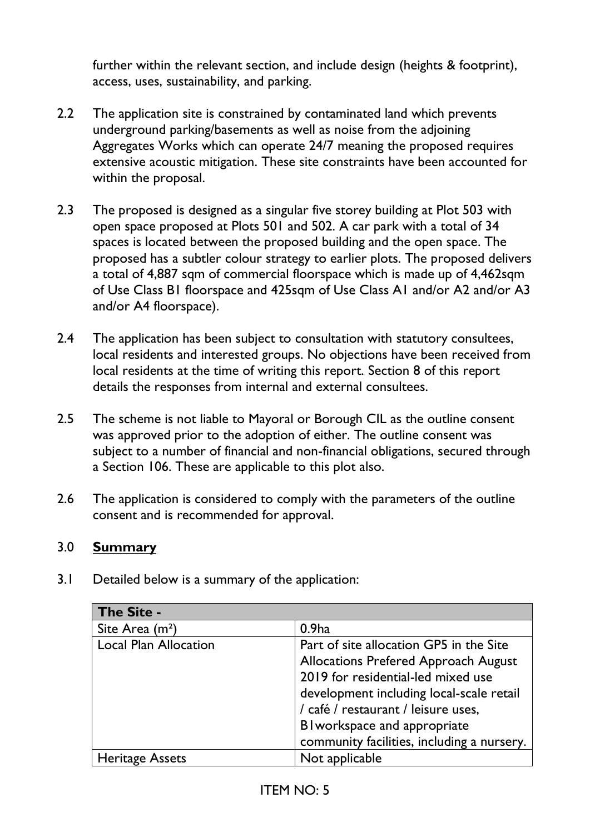further within the relevant section, and include design (heights & footprint), access, uses, sustainability, and parking.

- 2.2 The application site is constrained by contaminated land which prevents underground parking/basements as well as noise from the adjoining Aggregates Works which can operate 24/7 meaning the proposed requires extensive acoustic mitigation. These site constraints have been accounted for within the proposal.
- 2.3 The proposed is designed as a singular five storey building at Plot 503 with open space proposed at Plots 501 and 502. A car park with a total of 34 spaces is located between the proposed building and the open space. The proposed has a subtler colour strategy to earlier plots. The proposed delivers a total of 4,887 sqm of commercial floorspace which is made up of 4,462sqm of Use Class B1 floorspace and 425sqm of Use Class A1 and/or A2 and/or A3 and/or A4 floorspace).
- 2.4 The application has been subject to consultation with statutory consultees, local residents and interested groups. No objections have been received from local residents at the time of writing this report. Section 8 of this report details the responses from internal and external consultees.
- 2.5 The scheme is not liable to Mayoral or Borough CIL as the outline consent was approved prior to the adoption of either. The outline consent was subject to a number of financial and non-financial obligations, secured through a Section 106. These are applicable to this plot also.
- 2.6 The application is considered to comply with the parameters of the outline consent and is recommended for approval.

### 3.0 **Summary**

3.1 Detailed below is a summary of the application:

| The Site -                   |                                            |
|------------------------------|--------------------------------------------|
| Site Area (m <sup>2</sup> )  | 0.9 <sub>ha</sub>                          |
| <b>Local Plan Allocation</b> | Part of site allocation GP5 in the Site    |
|                              | Allocations Prefered Approach August       |
|                              | 2019 for residential-led mixed use         |
|                              | development including local-scale retail   |
|                              | / café / restaurant / leisure uses,        |
|                              | BI workspace and appropriate               |
|                              | community facilities, including a nursery. |
| <b>Heritage Assets</b>       | Not applicable                             |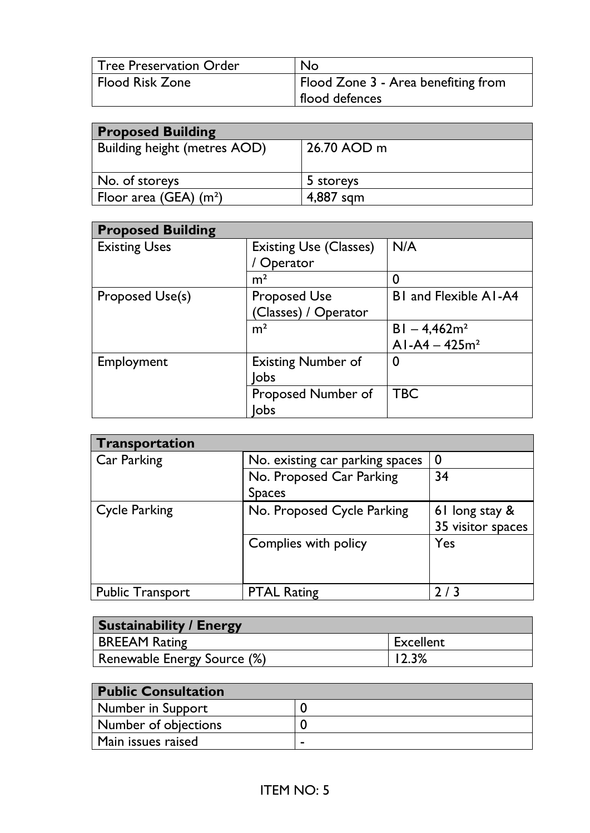| <b>Tree Preservation Order</b> | <b>No</b>                           |
|--------------------------------|-------------------------------------|
| <b>Flood Risk Zone</b>         | Flood Zone 3 - Area benefiting from |
|                                | flood defences                      |

| <b>Proposed Building</b>     |             |  |
|------------------------------|-------------|--|
| Building height (metres AOD) | 26.70 AOD m |  |
|                              |             |  |
| No. of storeys               | 5 storeys   |  |
| Floor area (GEA) $(m^2)$     | 4,887 sqm   |  |

| <b>Proposed Building</b> |                               |                              |
|--------------------------|-------------------------------|------------------------------|
| <b>Existing Uses</b>     | <b>Existing Use (Classes)</b> | N/A                          |
|                          | ' Operator                    |                              |
|                          | m <sup>2</sup>                | 0                            |
| Proposed Use(s)          | <b>Proposed Use</b>           | <b>BI</b> and Flexible AI-A4 |
|                          | (Classes) / Operator          |                              |
|                          | m <sup>2</sup>                | $BI - 4,462m2$               |
|                          |                               | $AI-AA - 425m2$              |
| Employment               | <b>Existing Number of</b>     | 0                            |
|                          | lobs                          |                              |
|                          | Proposed Number of            | <b>TBC</b>                   |
|                          | lobs                          |                              |

| Transportation          |                                 |                   |  |
|-------------------------|---------------------------------|-------------------|--|
| Car Parking             | No. existing car parking spaces | $\bm{0}$          |  |
|                         | No. Proposed Car Parking        | 34                |  |
|                         | <b>Spaces</b>                   |                   |  |
| <b>Cycle Parking</b>    | No. Proposed Cycle Parking      | 61 long stay &    |  |
|                         |                                 | 35 visitor spaces |  |
|                         | Complies with policy            | Yes               |  |
|                         |                                 |                   |  |
|                         |                                 |                   |  |
| <b>Public Transport</b> | <b>PTAL Rating</b>              | 213               |  |

| <b>Sustainability / Energy</b> |           |
|--------------------------------|-----------|
| <b>BREEAM Rating</b>           | Excellent |
| Renewable Energy Source (%)    | 12.3%     |

| <b>Public Consultation</b>  |   |
|-----------------------------|---|
| Number in Support           |   |
| <b>Number of objections</b> |   |
| Main issues raised          | - |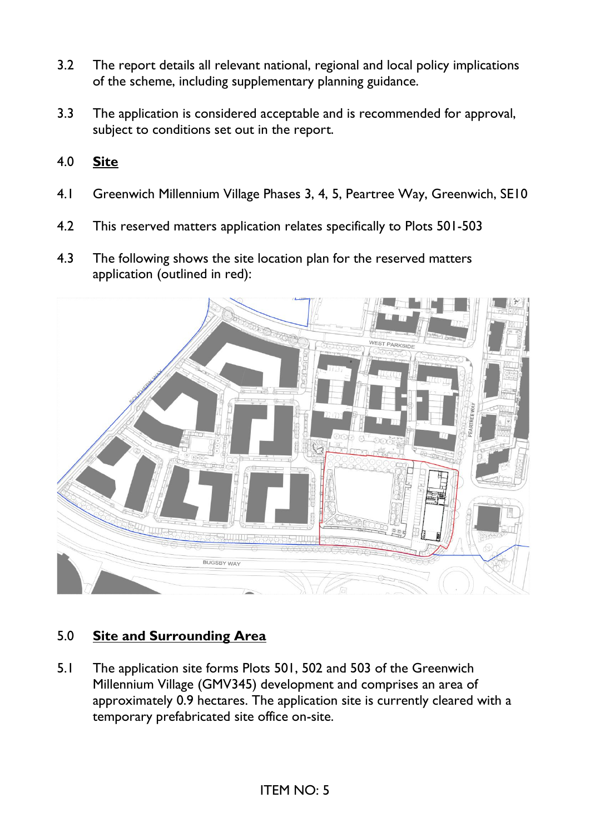- 3.2 The report details all relevant national, regional and local policy implications of the scheme, including supplementary planning guidance.
- 3.3 The application is considered acceptable and is recommended for approval, subject to conditions set out in the report.
- 4.0 **Site**
- 4.1 Greenwich Millennium Village Phases 3, 4, 5, Peartree Way, Greenwich, SE10
- 4.2 This reserved matters application relates specifically to Plots 501-503
- 4.3 The following shows the site location plan for the reserved matters application (outlined in red):



### 5.0 **Site and Surrounding Area**

5.1 The application site forms Plots 501, 502 and 503 of the Greenwich Millennium Village (GMV345) development and comprises an area of approximately 0.9 hectares. The application site is currently cleared with a temporary prefabricated site office on-site.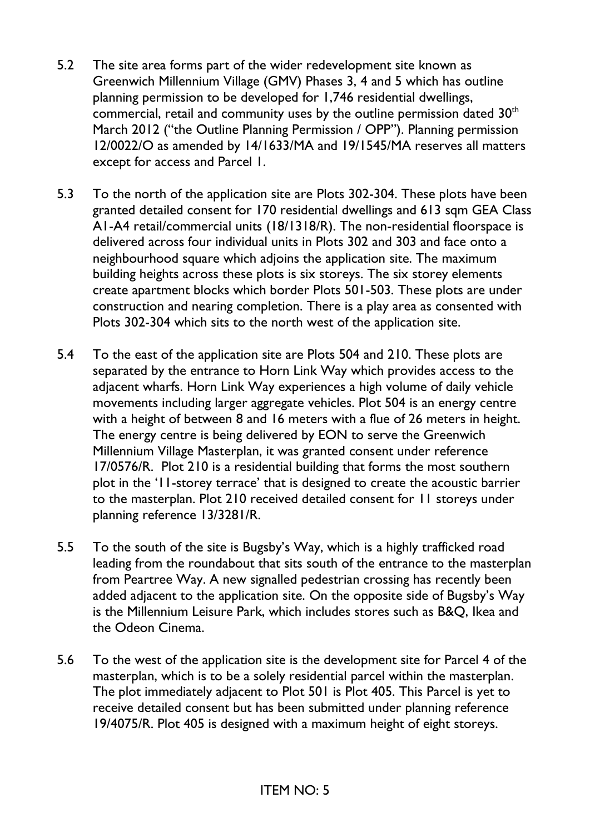- 5.2 The site area forms part of the wider redevelopment site known as Greenwich Millennium Village (GMV) Phases 3, 4 and 5 which has outline planning permission to be developed for 1,746 residential dwellings, commercial, retail and community uses by the outline permission dated 30<sup>th</sup> March 2012 ("the Outline Planning Permission / OPP"). Planning permission 12/0022/O as amended by 14/1633/MA and 19/1545/MA reserves all matters except for access and Parcel 1.
- 5.3 To the north of the application site are Plots 302-304. These plots have been granted detailed consent for 170 residential dwellings and 613 sqm GEA Class A1-A4 retail/commercial units (18/1318/R). The non-residential floorspace is delivered across four individual units in Plots 302 and 303 and face onto a neighbourhood square which adjoins the application site. The maximum building heights across these plots is six storeys. The six storey elements create apartment blocks which border Plots 501-503. These plots are under construction and nearing completion. There is a play area as consented with Plots 302-304 which sits to the north west of the application site.
- 5.4 To the east of the application site are Plots 504 and 210. These plots are separated by the entrance to Horn Link Way which provides access to the adjacent wharfs. Horn Link Way experiences a high volume of daily vehicle movements including larger aggregate vehicles. Plot 504 is an energy centre with a height of between 8 and 16 meters with a flue of 26 meters in height. The energy centre is being delivered by EON to serve the Greenwich Millennium Village Masterplan, it was granted consent under reference 17/0576/R. Plot 210 is a residential building that forms the most southern plot in the '11-storey terrace' that is designed to create the acoustic barrier to the masterplan. Plot 210 received detailed consent for 11 storeys under planning reference 13/3281/R.
- 5.5 To the south of the site is Bugsby's Way, which is a highly trafficked road leading from the roundabout that sits south of the entrance to the masterplan from Peartree Way. A new signalled pedestrian crossing has recently been added adjacent to the application site. On the opposite side of Bugsby's Way is the Millennium Leisure Park, which includes stores such as B&Q, Ikea and the Odeon Cinema.
- 5.6 To the west of the application site is the development site for Parcel 4 of the masterplan, which is to be a solely residential parcel within the masterplan. The plot immediately adjacent to Plot 501 is Plot 405. This Parcel is yet to receive detailed consent but has been submitted under planning reference 19/4075/R. Plot 405 is designed with a maximum height of eight storeys.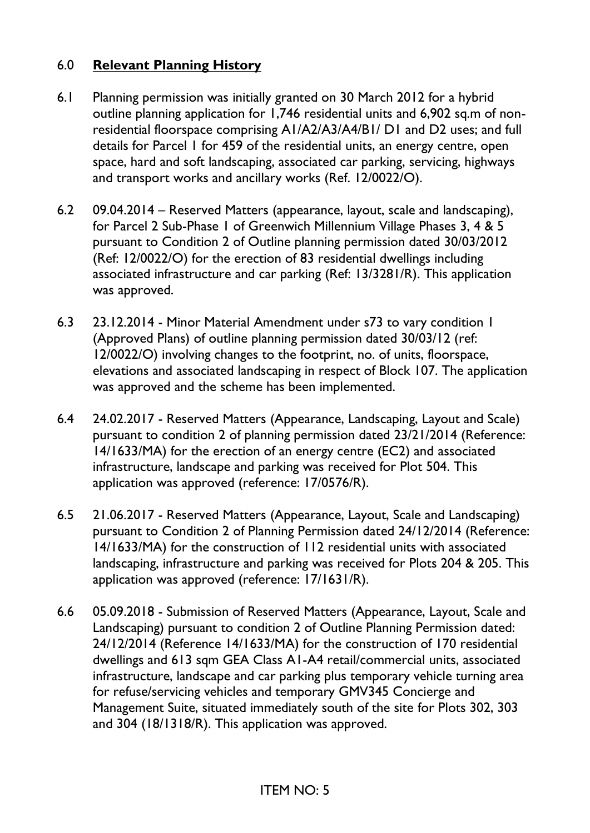### 6.0 **Relevant Planning History**

- 6.1 Planning permission was initially granted on 30 March 2012 for a hybrid outline planning application for 1,746 residential units and 6,902 sq.m of nonresidential floorspace comprising A1/A2/A3/A4/B1/ D1 and D2 uses; and full details for Parcel 1 for 459 of the residential units, an energy centre, open space, hard and soft landscaping, associated car parking, servicing, highways and transport works and ancillary works (Ref. 12/0022/O).
- 6.2 09.04.2014 Reserved Matters (appearance, layout, scale and landscaping), for Parcel 2 Sub-Phase 1 of Greenwich Millennium Village Phases 3, 4 & 5 pursuant to Condition 2 of Outline planning permission dated 30/03/2012 (Ref: 12/0022/O) for the erection of 83 residential dwellings including associated infrastructure and car parking (Ref: 13/3281/R). This application was approved.
- 6.3 23.12.2014 Minor Material Amendment under s73 to vary condition 1 (Approved Plans) of outline planning permission dated 30/03/12 (ref: 12/0022/O) involving changes to the footprint, no. of units, floorspace, elevations and associated landscaping in respect of Block 107. The application was approved and the scheme has been implemented.
- 6.4 24.02.2017 Reserved Matters (Appearance, Landscaping, Layout and Scale) pursuant to condition 2 of planning permission dated 23/21/2014 (Reference: 14/1633/MA) for the erection of an energy centre (EC2) and associated infrastructure, landscape and parking was received for Plot 504. This application was approved (reference: 17/0576/R).
- 6.5 21.06.2017 Reserved Matters (Appearance, Layout, Scale and Landscaping) pursuant to Condition 2 of Planning Permission dated 24/12/2014 (Reference: 14/1633/MA) for the construction of 112 residential units with associated landscaping, infrastructure and parking was received for Plots 204 & 205. This application was approved (reference: 17/1631/R).
- 6.6 05.09.2018 Submission of Reserved Matters (Appearance, Layout, Scale and Landscaping) pursuant to condition 2 of Outline Planning Permission dated: 24/12/2014 (Reference 14/1633/MA) for the construction of 170 residential dwellings and 613 sqm GEA Class A1-A4 retail/commercial units, associated infrastructure, landscape and car parking plus temporary vehicle turning area for refuse/servicing vehicles and temporary GMV345 Concierge and Management Suite, situated immediately south of the site for Plots 302, 303 and 304 (18/1318/R). This application was approved.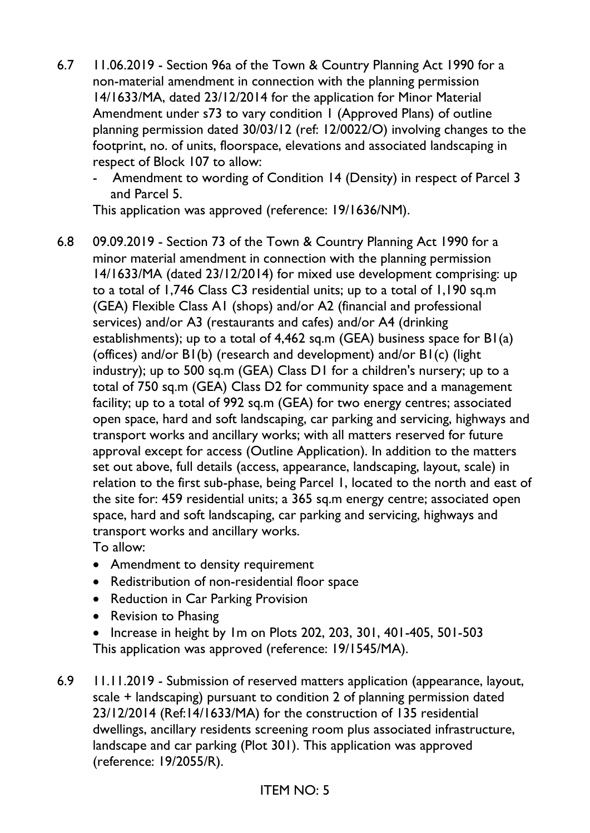- 6.7 11.06.2019 Section 96a of the Town & Country Planning Act 1990 for a non-material amendment in connection with the planning permission 14/1633/MA, dated 23/12/2014 for the application for Minor Material Amendment under s73 to vary condition 1 (Approved Plans) of outline planning permission dated 30/03/12 (ref: 12/0022/O) involving changes to the footprint, no. of units, floorspace, elevations and associated landscaping in respect of Block 107 to allow:
	- Amendment to wording of Condition 14 (Density) in respect of Parcel 3 and Parcel 5.

This application was approved (reference: 19/1636/NM).

- 6.8 09.09.2019 Section 73 of the Town & Country Planning Act 1990 for a minor material amendment in connection with the planning permission 14/1633/MA (dated 23/12/2014) for mixed use development comprising: up to a total of 1,746 Class C3 residential units; up to a total of 1,190 sq.m (GEA) Flexible Class A1 (shops) and/or A2 (financial and professional services) and/or A3 (restaurants and cafes) and/or A4 (drinking establishments); up to a total of 4,462 sq.m (GEA) business space for B1(a) (offices) and/or B1(b) (research and development) and/or B1(c) (light industry); up to 500 sq.m (GEA) Class D1 for a children's nursery; up to a total of 750 sq.m (GEA) Class D2 for community space and a management facility; up to a total of 992 sq.m (GEA) for two energy centres; associated open space, hard and soft landscaping, car parking and servicing, highways and transport works and ancillary works; with all matters reserved for future approval except for access (Outline Application). In addition to the matters set out above, full details (access, appearance, landscaping, layout, scale) in relation to the first sub-phase, being Parcel 1, located to the north and east of the site for: 459 residential units; a 365 sq.m energy centre; associated open space, hard and soft landscaping, car parking and servicing, highways and transport works and ancillary works. To allow:
	- Amendment to density requirement
	- Redistribution of non-residential floor space
	- Reduction in Car Parking Provision
	- Revision to Phasing
	- Increase in height by 1m on Plots 202, 203, 301, 401-405, 501-503 This application was approved (reference: 19/1545/MA).
- 6.9 11.11.2019 Submission of reserved matters application (appearance, layout, scale + landscaping) pursuant to condition 2 of planning permission dated 23/12/2014 (Ref:14/1633/MA) for the construction of 135 residential dwellings, ancillary residents screening room plus associated infrastructure, landscape and car parking (Plot 301). This application was approved (reference: 19/2055/R).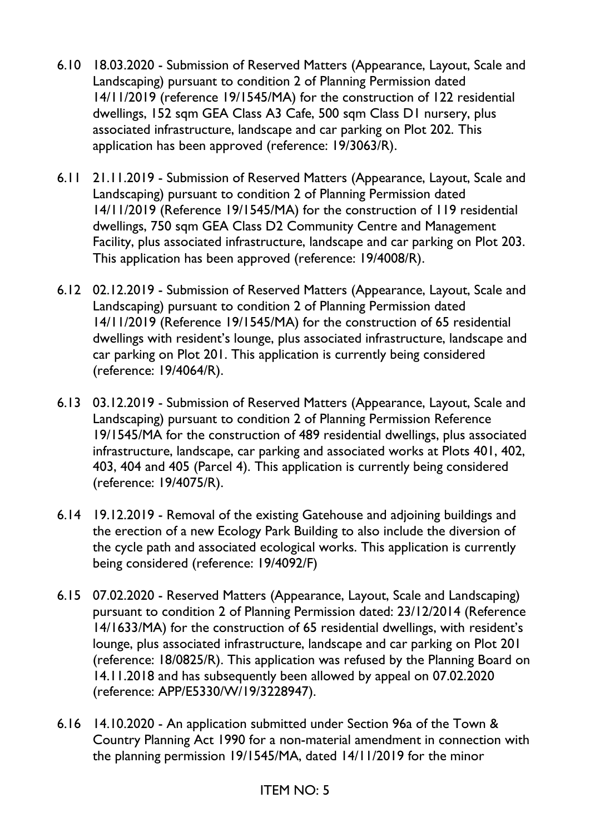- 6.10 18.03.2020 Submission of Reserved Matters (Appearance, Layout, Scale and Landscaping) pursuant to condition 2 of Planning Permission dated 14/11/2019 (reference 19/1545/MA) for the construction of 122 residential dwellings, 152 sqm GEA Class A3 Cafe, 500 sqm Class D1 nursery, plus associated infrastructure, landscape and car parking on Plot 202. This application has been approved (reference: 19/3063/R).
- 6.11 21.11.2019 Submission of Reserved Matters (Appearance, Layout, Scale and Landscaping) pursuant to condition 2 of Planning Permission dated 14/11/2019 (Reference 19/1545/MA) for the construction of 119 residential dwellings, 750 sqm GEA Class D2 Community Centre and Management Facility, plus associated infrastructure, landscape and car parking on Plot 203. This application has been approved (reference: 19/4008/R).
- 6.12 02.12.2019 Submission of Reserved Matters (Appearance, Layout, Scale and Landscaping) pursuant to condition 2 of Planning Permission dated 14/11/2019 (Reference 19/1545/MA) for the construction of 65 residential dwellings with resident's lounge, plus associated infrastructure, landscape and car parking on Plot 201. This application is currently being considered (reference: 19/4064/R).
- 6.13 03.12.2019 Submission of Reserved Matters (Appearance, Layout, Scale and Landscaping) pursuant to condition 2 of Planning Permission Reference 19/1545/MA for the construction of 489 residential dwellings, plus associated infrastructure, landscape, car parking and associated works at Plots 401, 402, 403, 404 and 405 (Parcel 4). This application is currently being considered (reference: 19/4075/R).
- 6.14 19.12.2019 Removal of the existing Gatehouse and adjoining buildings and the erection of a new Ecology Park Building to also include the diversion of the cycle path and associated ecological works. This application is currently being considered (reference: 19/4092/F)
- 6.15 07.02.2020 Reserved Matters (Appearance, Layout, Scale and Landscaping) pursuant to condition 2 of Planning Permission dated: 23/12/2014 (Reference 14/1633/MA) for the construction of 65 residential dwellings, with resident's lounge, plus associated infrastructure, landscape and car parking on Plot 201 (reference: 18/0825/R). This application was refused by the Planning Board on 14.11.2018 and has subsequently been allowed by appeal on 07.02.2020 (reference: APP/E5330/W/19/3228947).
- 6.16 14.10.2020 An application submitted under Section 96a of the Town & Country Planning Act 1990 for a non-material amendment in connection with the planning permission 19/1545/MA, dated 14/11/2019 for the minor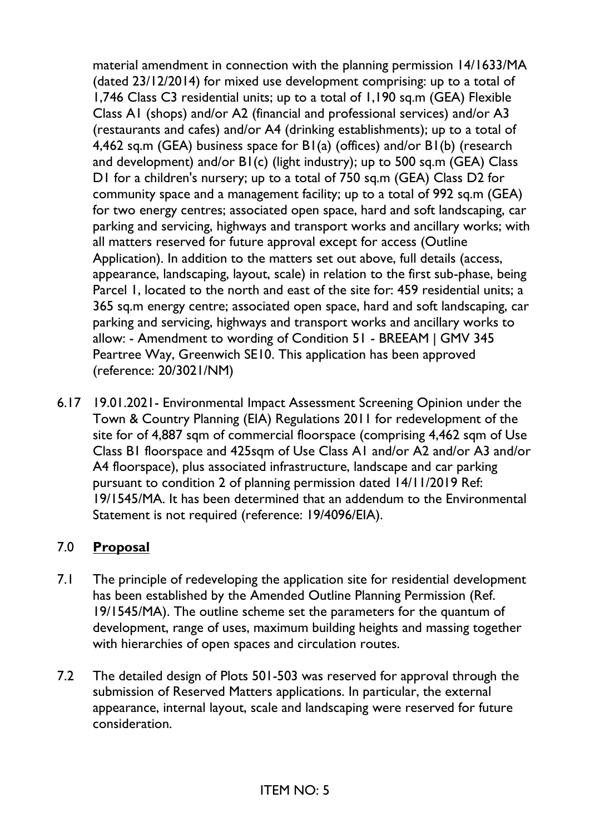material amendment in connection with the planning permission 14/1633/MA (dated 23/12/2014) for mixed use development comprising: up to a total of 1,746 Class C3 residential units; up to a total of 1,190 sq.m (GEA) Flexible Class A1 (shops) and/or A2 (financial and professional services) and/or A3 (restaurants and cafes) and/or A4 (drinking establishments); up to a total of 4,462 sq.m (GEA) business space for B1(a) (offices) and/or B1(b) (research and development) and/or B1(c) (light industry); up to 500 sq.m (GEA) Class D1 for a children's nursery; up to a total of 750 sq.m (GEA) Class D2 for community space and a management facility; up to a total of 992 sq.m (GEA) for two energy centres; associated open space, hard and soft landscaping, car parking and servicing, highways and transport works and ancillary works; with all matters reserved for future approval except for access (Outline Application). In addition to the matters set out above, full details (access, appearance, landscaping, layout, scale) in relation to the first sub-phase, being Parcel 1, located to the north and east of the site for: 459 residential units; a 365 sq.m energy centre; associated open space, hard and soft landscaping, car parking and servicing, highways and transport works and ancillary works to allow: - Amendment to wording of Condition 51 - BREEAM | GMV 345 Peartree Way, Greenwich SE10. This application has been approved (reference: 20/3021/NM)

6.17 19.01.2021- Environmental Impact Assessment Screening Opinion under the Town & Country Planning (EIA) Regulations 2011 for redevelopment of the site for of 4,887 sqm of commercial floorspace (comprising 4,462 sqm of Use Class B1 floorspace and 425sqm of Use Class A1 and/or A2 and/or A3 and/or A4 floorspace), plus associated infrastructure, landscape and car parking pursuant to condition 2 of planning permission dated 14/11/2019 Ref: 19/1545/MA. It has been determined that an addendum to the Environmental Statement is not required (reference: 19/4096/EIA).

### 7.0 **Proposal**

- 7.1 The principle of redeveloping the application site for residential development has been established by the Amended Outline Planning Permission (Ref. 19/1545/MA). The outline scheme set the parameters for the quantum of development, range of uses, maximum building heights and massing together with hierarchies of open spaces and circulation routes.
- 7.2 The detailed design of Plots 501-503 was reserved for approval through the submission of Reserved Matters applications. In particular, the external appearance, internal layout, scale and landscaping were reserved for future consideration.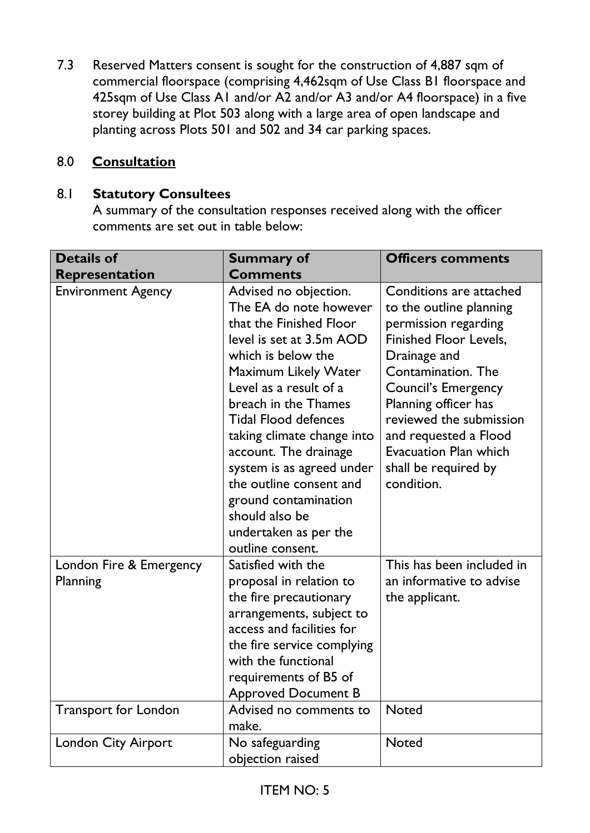7.3 Reserved Matters consent is sought for the construction of 4,887 sqm of commercial floorspace (comprising 4,462sqm of Use Class B1 floorspace and 425sqm of Use Class A1 and/or A2 and/or A3 and/or A4 floorspace) in a five storey building at Plot 503 along with a large area of open landscape and planting across Plots 501 and 502 and 34 car parking spaces.

#### 8.0 **Consultation**

#### 8.1 **Statutory Consultees**

A summary of the consultation responses received along with the officer comments are set out in table below:

| <b>Details of</b>                   | <b>Summary of</b>                                                                                                                                                                                                                                                                                                                                                                                                                                  | <b>Officers comments</b>                                                                                                                                                                                                                                                                                                          |
|-------------------------------------|----------------------------------------------------------------------------------------------------------------------------------------------------------------------------------------------------------------------------------------------------------------------------------------------------------------------------------------------------------------------------------------------------------------------------------------------------|-----------------------------------------------------------------------------------------------------------------------------------------------------------------------------------------------------------------------------------------------------------------------------------------------------------------------------------|
| Representation                      | <b>Comments</b>                                                                                                                                                                                                                                                                                                                                                                                                                                    |                                                                                                                                                                                                                                                                                                                                   |
| <b>Environment Agency</b>           | Advised no objection.<br>The EA do note however<br>that the Finished Floor<br>level is set at 3.5m AOD<br>which is below the<br><b>Maximum Likely Water</b><br>Level as a result of a<br>breach in the Thames<br><b>Tidal Flood defences</b><br>taking climate change into<br>account. The drainage<br>system is as agreed under<br>the outline consent and<br>ground contamination<br>should also be<br>undertaken as per the<br>outline consent. | Conditions are attached<br>to the outline planning<br>permission regarding<br><b>Finished Floor Levels,</b><br>Drainage and<br>Contamination. The<br><b>Council's Emergency</b><br>Planning officer has<br>reviewed the submission<br>and requested a Flood<br><b>Evacuation Plan which</b><br>shall be required by<br>condition. |
| London Fire & Emergency<br>Planning | Satisfied with the<br>proposal in relation to<br>the fire precautionary<br>arrangements, subject to<br>access and facilities for<br>the fire service complying<br>with the functional<br>requirements of B5 of<br><b>Approved Document B</b>                                                                                                                                                                                                       | This has been included in<br>an informative to advise<br>the applicant.                                                                                                                                                                                                                                                           |
| <b>Transport for London</b>         | Advised no comments to<br>make.                                                                                                                                                                                                                                                                                                                                                                                                                    | <b>Noted</b>                                                                                                                                                                                                                                                                                                                      |
| <b>London City Airport</b>          | No safeguarding<br>objection raised                                                                                                                                                                                                                                                                                                                                                                                                                | <b>Noted</b>                                                                                                                                                                                                                                                                                                                      |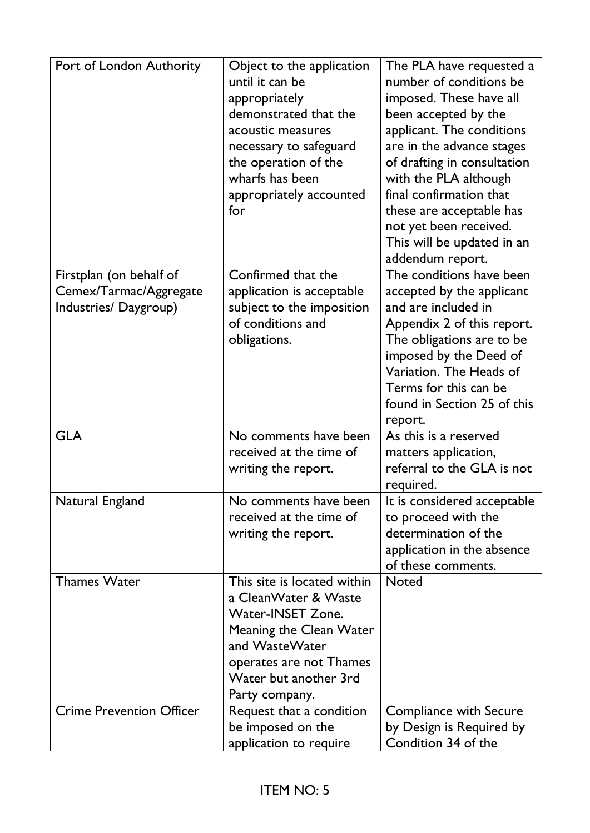| Port of London Authority                                                  | Object to the application<br>until it can be<br>appropriately<br>demonstrated that the<br>acoustic measures<br>necessary to safeguard<br>the operation of the<br>wharfs has been<br>appropriately accounted<br>for | The PLA have requested a<br>number of conditions be<br>imposed. These have all<br>been accepted by the<br>applicant. The conditions<br>are in the advance stages<br>of drafting in consultation<br>with the PLA although<br>final confirmation that<br>these are acceptable has<br>not yet been received.<br>This will be updated in an<br>addendum report. |
|---------------------------------------------------------------------------|--------------------------------------------------------------------------------------------------------------------------------------------------------------------------------------------------------------------|-------------------------------------------------------------------------------------------------------------------------------------------------------------------------------------------------------------------------------------------------------------------------------------------------------------------------------------------------------------|
| Firstplan (on behalf of<br>Cemex/Tarmac/Aggregate<br>Industries/Daygroup) | Confirmed that the<br>application is acceptable<br>subject to the imposition<br>of conditions and<br>obligations.                                                                                                  | The conditions have been<br>accepted by the applicant<br>and are included in<br>Appendix 2 of this report.<br>The obligations are to be<br>imposed by the Deed of<br>Variation. The Heads of<br>Terms for this can be<br>found in Section 25 of this<br>report.                                                                                             |
| <b>GLA</b>                                                                | No comments have been<br>received at the time of<br>writing the report.                                                                                                                                            | As this is a reserved<br>matters application,<br>referral to the GLA is not<br>required.                                                                                                                                                                                                                                                                    |
| Natural England                                                           | No comments have been<br>received at the time of<br>writing the report.                                                                                                                                            | It is considered acceptable<br>to proceed with the<br>determination of the<br>application in the absence<br>of these comments.                                                                                                                                                                                                                              |
| <b>Thames Water</b>                                                       | This site is located within<br>a CleanWater & Waste<br>Water-INSET Zone.<br>Meaning the Clean Water<br>and WasteWater<br>operates are not Thames<br>Water but another 3rd<br>Party company.                        | <b>Noted</b>                                                                                                                                                                                                                                                                                                                                                |
| <b>Crime Prevention Officer</b>                                           | Request that a condition<br>be imposed on the<br>application to require                                                                                                                                            | Compliance with Secure<br>by Design is Required by<br>Condition 34 of the                                                                                                                                                                                                                                                                                   |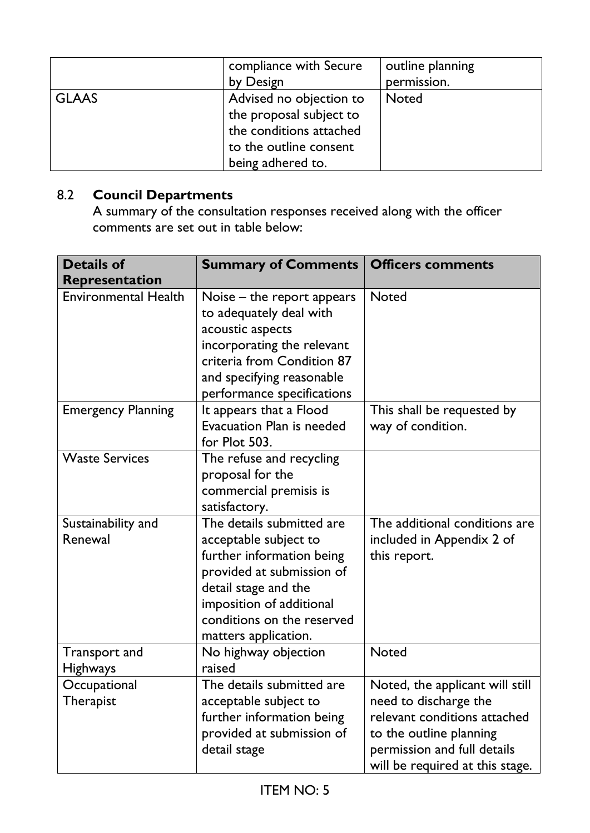|              | compliance with Secure<br>by Design                                                                                          | outline planning<br>permission. |
|--------------|------------------------------------------------------------------------------------------------------------------------------|---------------------------------|
| <b>GLAAS</b> | Advised no objection to<br>the proposal subject to<br>the conditions attached<br>to the outline consent<br>being adhered to. | <b>Noted</b>                    |

# 8.2 **Council Departments**

A summary of the consultation responses received along with the officer comments are set out in table below:

| <b>Details of</b><br>Representation | <b>Summary of Comments</b>                                                                                                                                                                                             | <b>Officers comments</b>                                                                                                                                                              |
|-------------------------------------|------------------------------------------------------------------------------------------------------------------------------------------------------------------------------------------------------------------------|---------------------------------------------------------------------------------------------------------------------------------------------------------------------------------------|
| <b>Environmental Health</b>         | Noise – the report appears<br>to adequately deal with<br>acoustic aspects<br>incorporating the relevant<br>criteria from Condition 87<br>and specifying reasonable<br>performance specifications                       | <b>Noted</b>                                                                                                                                                                          |
| <b>Emergency Planning</b>           | It appears that a Flood<br>Evacuation Plan is needed<br>for Plot 503.                                                                                                                                                  | This shall be requested by<br>way of condition.                                                                                                                                       |
| <b>Waste Services</b>               | The refuse and recycling<br>proposal for the<br>commercial premisis is<br>satisfactory.                                                                                                                                |                                                                                                                                                                                       |
| Sustainability and<br>Renewal       | The details submitted are<br>acceptable subject to<br>further information being<br>provided at submission of<br>detail stage and the<br>imposition of additional<br>conditions on the reserved<br>matters application. | The additional conditions are<br>included in Appendix 2 of<br>this report.                                                                                                            |
| Transport and<br><b>Highways</b>    | No highway objection<br>raised                                                                                                                                                                                         | <b>Noted</b>                                                                                                                                                                          |
| Occupational<br>Therapist           | The details submitted are<br>acceptable subject to<br>further information being<br>provided at submission of<br>detail stage                                                                                           | Noted, the applicant will still<br>need to discharge the<br>relevant conditions attached<br>to the outline planning<br>permission and full details<br>will be required at this stage. |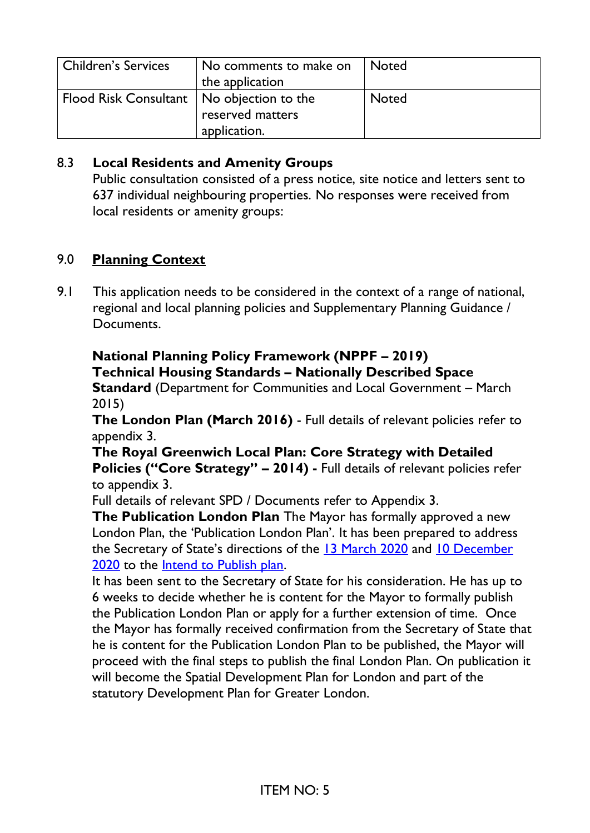| Children's Services                         | No comments to make on<br>the application | l Noted      |
|---------------------------------------------|-------------------------------------------|--------------|
| Flood Risk Consultant   No objection to the | reserved matters<br>application.          | <b>Noted</b> |

### 8.3 **Local Residents and Amenity Groups**

Public consultation consisted of a press notice, site notice and letters sent to 637 individual neighbouring properties. No responses were received from local residents or amenity groups:

### 9.0 **Planning Context**

9.1 This application needs to be considered in the context of a range of national, regional and local planning policies and Supplementary Planning Guidance / Documents.

# **National Planning Policy Framework (NPPF – 2019) Technical Housing Standards – Nationally Described Space**

**Standard** (Department for Communities and Local Government – March 2015)

**The London Plan (March 2016)** - Full details of relevant policies refer to appendix 3.

**The Royal Greenwich Local Plan: Core Strategy with Detailed Policies ("Core Strategy" – 2014) -** Full details of relevant policies refer to appendix 3.

Full details of relevant SPD / Documents refer to Appendix 3.

**The Publication London Plan** The Mayor has formally approved a new London Plan, the 'Publication London Plan'. It has been prepared to address the Secretary of State's directions of the [13 March 2020](https://www.london.gov.uk/sites/default/files/letter_to_the_mayor_of_london_13_march_2020.pdf) and [10 December](https://www.london.gov.uk/sites/default/files/201210_sos_letter_to_mayor_london_plan.pdf)  [2020](https://www.london.gov.uk/sites/default/files/201210_sos_letter_to_mayor_london_plan.pdf) to the [Intend to Publish plan.](https://www.london.gov.uk/what-we-do/planning/london-plan/new-london-plan/intend-publish-london-plan-2019)

It has been sent to the Secretary of State for his consideration. He has up to 6 weeks to decide whether he is content for the Mayor to formally publish the Publication London Plan or apply for a further extension of time. Once the Mayor has formally received confirmation from the Secretary of State that he is content for the Publication London Plan to be published, the Mayor will proceed with the final steps to publish the final London Plan. On publication it will become the Spatial Development Plan for London and part of the statutory Development Plan for Greater London.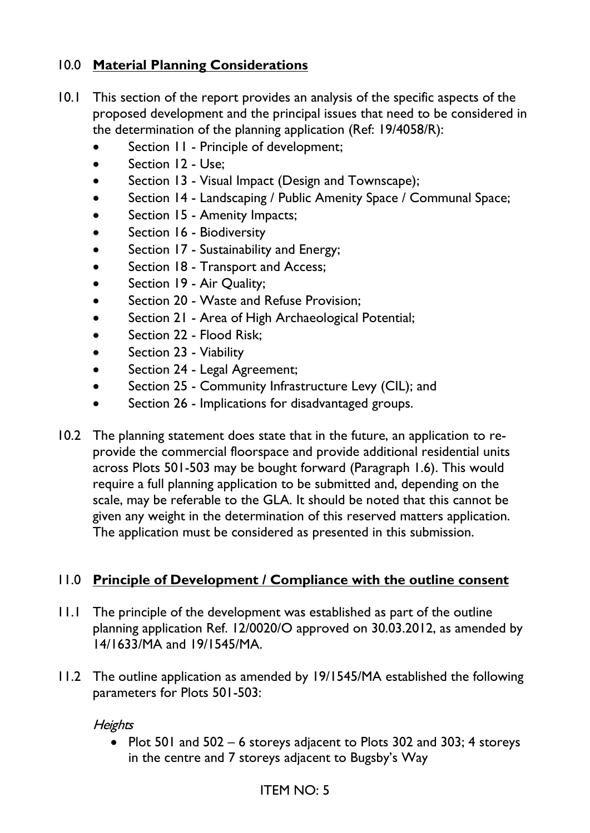## 10.0 **Material Planning Considerations**

- 10.1 This section of the report provides an analysis of the specific aspects of the proposed development and the principal issues that need to be considered in the determination of the planning application (Ref: 19/4058/R):
	- Section 11 Principle of development;
	- Section 12 Use:
	- Section 13 Visual Impact (Design and Townscape);
	- Section 14 Landscaping / Public Amenity Space / Communal Space;
	- Section 15 Amenity Impacts;
	- Section 16 Biodiversity
	- Section 17 Sustainability and Energy;
	- Section 18 Transport and Access;
	- Section 19 Air Quality;
	- Section 20 Waste and Refuse Provision;
	- Section 21 Area of High Archaeological Potential;
	- Section 22 Flood Risk:
	- Section 23 Viability
	- Section 24 Legal Agreement;
	- Section 25 Community Infrastructure Levy (CIL); and
	- Section 26 Implications for disadvantaged groups.
- 10.2 The planning statement does state that in the future, an application to reprovide the commercial floorspace and provide additional residential units across Plots 501-503 may be bought forward (Paragraph 1.6). This would require a full planning application to be submitted and, depending on the scale, may be referable to the GLA. It should be noted that this cannot be given any weight in the determination of this reserved matters application. The application must be considered as presented in this submission.

### 11.0 **Principle of Development / Compliance with the outline consent**

- 11.1 The principle of the development was established as part of the outline planning application Ref. 12/0020/O approved on 30.03.2012, as amended by 14/1633/MA and 19/1545/MA.
- 11.2 The outline application as amended by 19/1545/MA established the following parameters for Plots 501-503:

#### **Heights**

• Plot 501 and 502 – 6 storeys adjacent to Plots 302 and 303; 4 storeys in the centre and 7 storeys adjacent to Bugsby's Way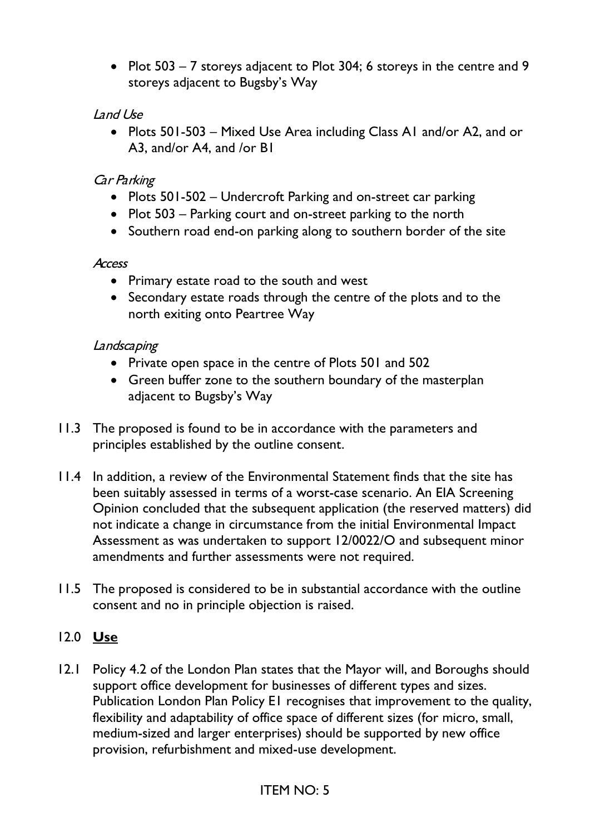• Plot 503 – 7 storeys adjacent to Plot 304; 6 storeys in the centre and 9 storeys adjacent to Bugsby's Way

### Land Use

• Plots 501-503 – Mixed Use Area including Class A1 and/or A2, and or A3, and/or A4, and /or B1

### Car Parking

- Plots 501-502 Undercroft Parking and on-street car parking
- Plot 503 Parking court and on-street parking to the north
- Southern road end-on parking along to southern border of the site

#### **Access**

- Primary estate road to the south and west
- Secondary estate roads through the centre of the plots and to the north exiting onto Peartree Way

#### **Landscaping**

- Private open space in the centre of Plots 501 and 502
- Green buffer zone to the southern boundary of the masterplan adjacent to Bugsby's Way
- 11.3 The proposed is found to be in accordance with the parameters and principles established by the outline consent.
- 11.4 In addition, a review of the Environmental Statement finds that the site has been suitably assessed in terms of a worst-case scenario. An EIA Screening Opinion concluded that the subsequent application (the reserved matters) did not indicate a change in circumstance from the initial Environmental Impact Assessment as was undertaken to support 12/0022/O and subsequent minor amendments and further assessments were not required.
- 11.5 The proposed is considered to be in substantial accordance with the outline consent and no in principle objection is raised.

### 12.0 **Use**

12.1 Policy 4.2 of the London Plan states that the Mayor will, and Boroughs should support office development for businesses of different types and sizes. Publication London Plan Policy E1 recognises that improvement to the quality, flexibility and adaptability of office space of different sizes (for micro, small, medium-sized and larger enterprises) should be supported by new office provision, refurbishment and mixed-use development.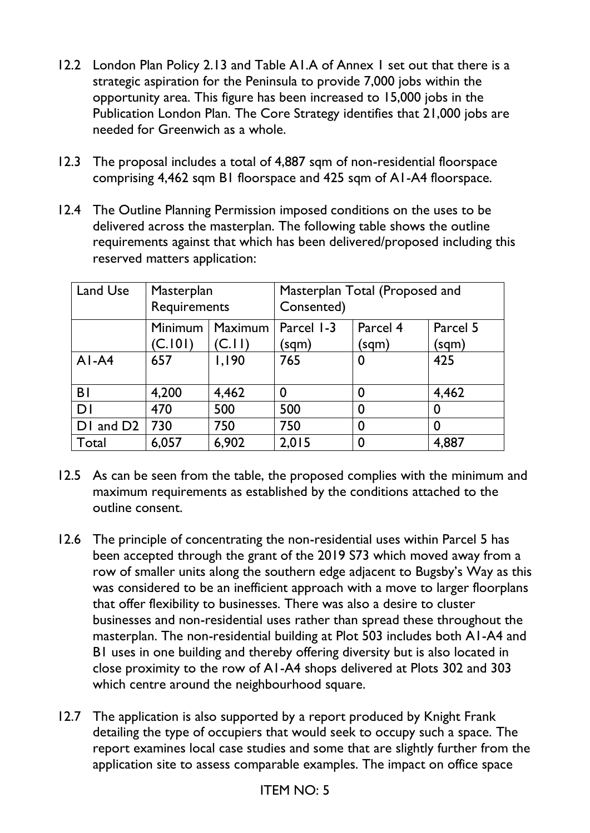- 12.2 London Plan Policy 2.13 and Table A1.A of Annex 1 set out that there is a strategic aspiration for the Peninsula to provide 7,000 jobs within the opportunity area. This figure has been increased to 15,000 jobs in the Publication London Plan. The Core Strategy identifies that 21,000 jobs are needed for Greenwich as a whole.
- 12.3 The proposal includes a total of 4,887 sqm of non-residential floorspace comprising 4,462 sqm B1 floorspace and 425 sqm of A1-A4 floorspace.
- 12.4 The Outline Planning Permission imposed conditions on the uses to be delivered across the masterplan. The following table shows the outline requirements against that which has been delivered/proposed including this reserved matters application:

| Land Use              | Masterplan<br>Requirements |         | Masterplan Total (Proposed and<br>Consented) |          |          |
|-----------------------|----------------------------|---------|----------------------------------------------|----------|----------|
|                       | Minimum                    | Maximum | Parcel 1-3                                   | Parcel 4 | Parcel 5 |
|                       | (C.101)                    | 'C.II)  | (sqm)                                        | (sqm)    | (sqm)    |
| $AI-AA$               | 657                        | 1,190   | 765                                          | 0        | 425      |
| <b>B</b>              | 4,200                      | 4,462   | 0                                            | 0        | 4,462    |
| <b>DI</b>             | 470                        | 500     | 500                                          | 0        | 0        |
| DI and D <sub>2</sub> | 730                        | 750     | 750                                          | 0        | 0        |
| Total                 | 6,057                      | 6,902   | 2,015                                        | 0        | 4,887    |

- 12.5 As can be seen from the table, the proposed complies with the minimum and maximum requirements as established by the conditions attached to the outline consent.
- 12.6 The principle of concentrating the non-residential uses within Parcel 5 has been accepted through the grant of the 2019 S73 which moved away from a row of smaller units along the southern edge adjacent to Bugsby's Way as this was considered to be an inefficient approach with a move to larger floorplans that offer flexibility to businesses. There was also a desire to cluster businesses and non-residential uses rather than spread these throughout the masterplan. The non-residential building at Plot 503 includes both A1-A4 and B1 uses in one building and thereby offering diversity but is also located in close proximity to the row of A1-A4 shops delivered at Plots 302 and 303 which centre around the neighbourhood square.
- 12.7 The application is also supported by a report produced by Knight Frank detailing the type of occupiers that would seek to occupy such a space. The report examines local case studies and some that are slightly further from the application site to assess comparable examples. The impact on office space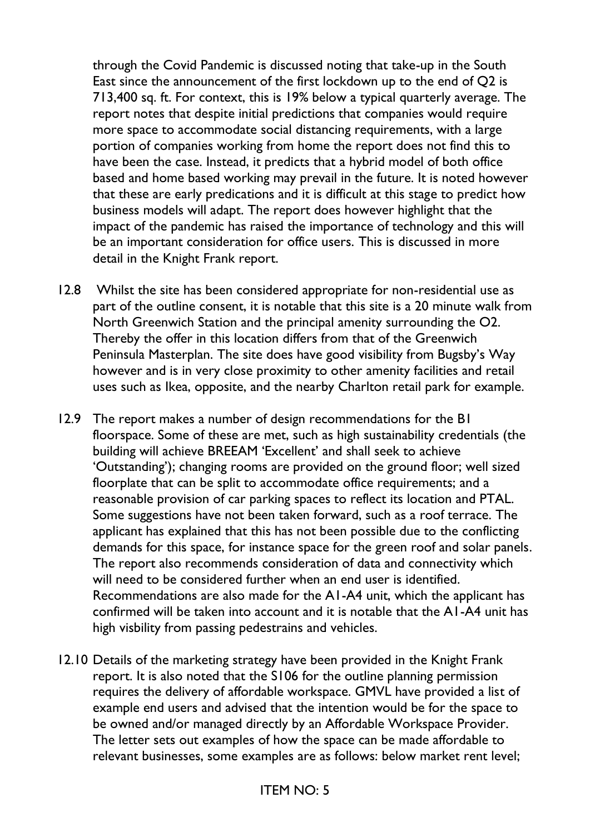through the Covid Pandemic is discussed noting that take-up in the South East since the announcement of the first lockdown up to the end of Q2 is 713,400 sq. ft. For context, this is 19% below a typical quarterly average. The report notes that despite initial predictions that companies would require more space to accommodate social distancing requirements, with a large portion of companies working from home the report does not find this to have been the case. Instead, it predicts that a hybrid model of both office based and home based working may prevail in the future. It is noted however that these are early predications and it is difficult at this stage to predict how business models will adapt. The report does however highlight that the impact of the pandemic has raised the importance of technology and this will be an important consideration for office users. This is discussed in more detail in the Knight Frank report.

- 12.8 Whilst the site has been considered appropriate for non-residential use as part of the outline consent, it is notable that this site is a 20 minute walk from North Greenwich Station and the principal amenity surrounding the O2. Thereby the offer in this location differs from that of the Greenwich Peninsula Masterplan. The site does have good visibility from Bugsby's Way however and is in very close proximity to other amenity facilities and retail uses such as Ikea, opposite, and the nearby Charlton retail park for example.
- 12.9 The report makes a number of design recommendations for the B1 floorspace. Some of these are met, such as high sustainability credentials (the building will achieve BREEAM 'Excellent' and shall seek to achieve 'Outstanding'); changing rooms are provided on the ground floor; well sized floorplate that can be split to accommodate office requirements; and a reasonable provision of car parking spaces to reflect its location and PTAL. Some suggestions have not been taken forward, such as a roof terrace. The applicant has explained that this has not been possible due to the conflicting demands for this space, for instance space for the green roof and solar panels. The report also recommends consideration of data and connectivity which will need to be considered further when an end user is identified. Recommendations are also made for the A1-A4 unit, which the applicant has confirmed will be taken into account and it is notable that the A1-A4 unit has high visbility from passing pedestrains and vehicles.
- 12.10 Details of the marketing strategy have been provided in the Knight Frank report. It is also noted that the S106 for the outline planning permission requires the delivery of affordable workspace. GMVL have provided a list of example end users and advised that the intention would be for the space to be owned and/or managed directly by an Affordable Workspace Provider. The letter sets out examples of how the space can be made affordable to relevant businesses, some examples are as follows: below market rent level;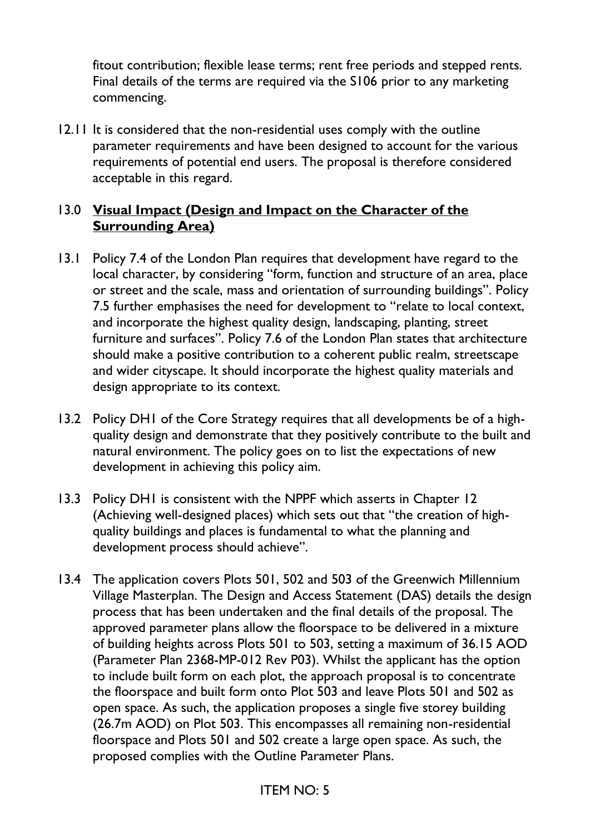fitout contribution; flexible lease terms; rent free periods and stepped rents. Final details of the terms are required via the S106 prior to any marketing commencing.

12.11 It is considered that the non-residential uses comply with the outline parameter requirements and have been designed to account for the various requirements of potential end users. The proposal is therefore considered acceptable in this regard.

### 13.0 **Visual Impact (Design and Impact on the Character of the Surrounding Area)**

- 13.1 Policy 7.4 of the London Plan requires that development have regard to the local character, by considering "form, function and structure of an area, place or street and the scale, mass and orientation of surrounding buildings". Policy 7.5 further emphasises the need for development to "relate to local context, and incorporate the highest quality design, landscaping, planting, street furniture and surfaces". Policy 7.6 of the London Plan states that architecture should make a positive contribution to a coherent public realm, streetscape and wider cityscape. It should incorporate the highest quality materials and design appropriate to its context.
- 13.2 Policy DH1 of the Core Strategy requires that all developments be of a highquality design and demonstrate that they positively contribute to the built and natural environment. The policy goes on to list the expectations of new development in achieving this policy aim.
- 13.3 Policy DH1 is consistent with the NPPF which asserts in Chapter 12 (Achieving well-designed places) which sets out that "the creation of highquality buildings and places is fundamental to what the planning and development process should achieve".
- 13.4 The application covers Plots 501, 502 and 503 of the Greenwich Millennium Village Masterplan. The Design and Access Statement (DAS) details the design process that has been undertaken and the final details of the proposal. The approved parameter plans allow the floorspace to be delivered in a mixture of building heights across Plots 501 to 503, setting a maximum of 36.15 AOD (Parameter Plan 2368-MP-012 Rev P03). Whilst the applicant has the option to include built form on each plot, the approach proposal is to concentrate the floorspace and built form onto Plot 503 and leave Plots 501 and 502 as open space. As such, the application proposes a single five storey building (26.7m AOD) on Plot 503. This encompasses all remaining non-residential floorspace and Plots 501 and 502 create a large open space. As such, the proposed complies with the Outline Parameter Plans.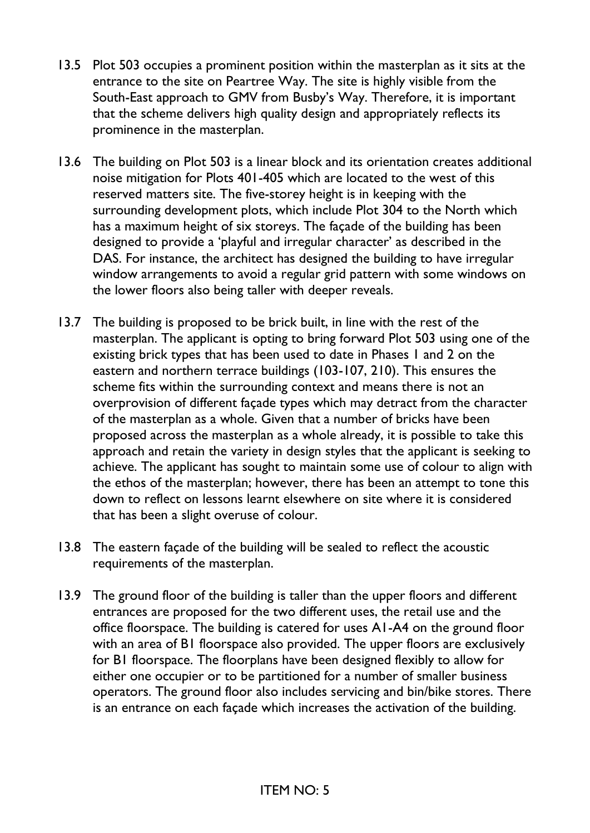- 13.5 Plot 503 occupies a prominent position within the masterplan as it sits at the entrance to the site on Peartree Way. The site is highly visible from the South-East approach to GMV from Busby's Way. Therefore, it is important that the scheme delivers high quality design and appropriately reflects its prominence in the masterplan.
- 13.6 The building on Plot 503 is a linear block and its orientation creates additional noise mitigation for Plots 401-405 which are located to the west of this reserved matters site. The five-storey height is in keeping with the surrounding development plots, which include Plot 304 to the North which has a maximum height of six storeys. The façade of the building has been designed to provide a 'playful and irregular character' as described in the DAS. For instance, the architect has designed the building to have irregular window arrangements to avoid a regular grid pattern with some windows on the lower floors also being taller with deeper reveals.
- 13.7 The building is proposed to be brick built, in line with the rest of the masterplan. The applicant is opting to bring forward Plot 503 using one of the existing brick types that has been used to date in Phases 1 and 2 on the eastern and northern terrace buildings (103-107, 210). This ensures the scheme fits within the surrounding context and means there is not an overprovision of different façade types which may detract from the character of the masterplan as a whole. Given that a number of bricks have been proposed across the masterplan as a whole already, it is possible to take this approach and retain the variety in design styles that the applicant is seeking to achieve. The applicant has sought to maintain some use of colour to align with the ethos of the masterplan; however, there has been an attempt to tone this down to reflect on lessons learnt elsewhere on site where it is considered that has been a slight overuse of colour.
- 13.8 The eastern façade of the building will be sealed to reflect the acoustic requirements of the masterplan.
- 13.9 The ground floor of the building is taller than the upper floors and different entrances are proposed for the two different uses, the retail use and the office floorspace. The building is catered for uses A1-A4 on the ground floor with an area of B1 floorspace also provided. The upper floors are exclusively for B1 floorspace. The floorplans have been designed flexibly to allow for either one occupier or to be partitioned for a number of smaller business operators. The ground floor also includes servicing and bin/bike stores. There is an entrance on each façade which increases the activation of the building.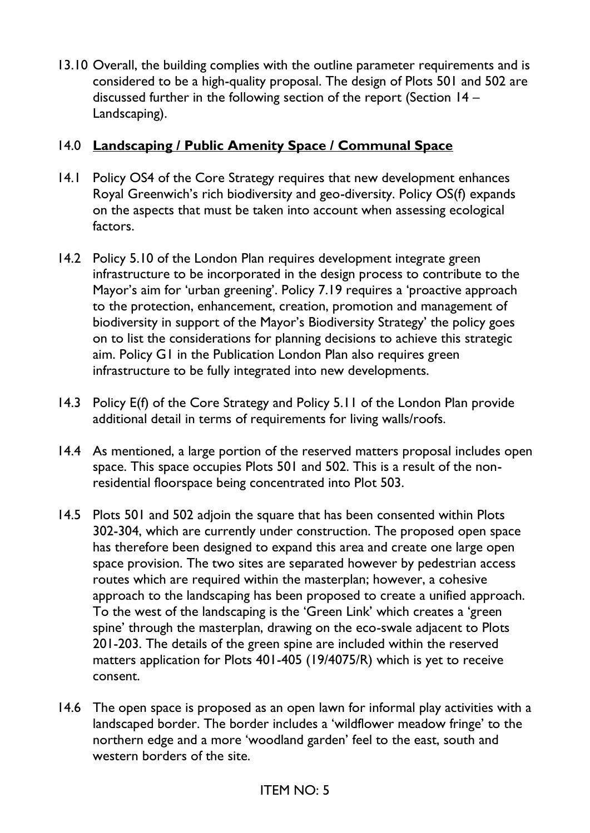13.10 Overall, the building complies with the outline parameter requirements and is considered to be a high-quality proposal. The design of Plots 501 and 502 are discussed further in the following section of the report (Section 14 – Landscaping).

### 14.0 **Landscaping / Public Amenity Space / Communal Space**

- 14.1 Policy OS4 of the Core Strategy requires that new development enhances Royal Greenwich's rich biodiversity and geo-diversity. Policy OS(f) expands on the aspects that must be taken into account when assessing ecological factors.
- 14.2 Policy 5.10 of the London Plan requires development integrate green infrastructure to be incorporated in the design process to contribute to the Mayor's aim for 'urban greening'. Policy 7.19 requires a 'proactive approach to the protection, enhancement, creation, promotion and management of biodiversity in support of the Mayor's Biodiversity Strategy' the policy goes on to list the considerations for planning decisions to achieve this strategic aim. Policy G1 in the Publication London Plan also requires green infrastructure to be fully integrated into new developments.
- 14.3 Policy E(f) of the Core Strategy and Policy 5.11 of the London Plan provide additional detail in terms of requirements for living walls/roofs.
- 14.4 As mentioned, a large portion of the reserved matters proposal includes open space. This space occupies Plots 501 and 502. This is a result of the nonresidential floorspace being concentrated into Plot 503.
- 14.5 Plots 501 and 502 adjoin the square that has been consented within Plots 302-304, which are currently under construction. The proposed open space has therefore been designed to expand this area and create one large open space provision. The two sites are separated however by pedestrian access routes which are required within the masterplan; however, a cohesive approach to the landscaping has been proposed to create a unified approach. To the west of the landscaping is the 'Green Link' which creates a 'green spine' through the masterplan, drawing on the eco-swale adjacent to Plots 201-203. The details of the green spine are included within the reserved matters application for Plots 401-405 (19/4075/R) which is yet to receive consent.
- 14.6 The open space is proposed as an open lawn for informal play activities with a landscaped border. The border includes a 'wildflower meadow fringe' to the northern edge and a more 'woodland garden' feel to the east, south and western borders of the site.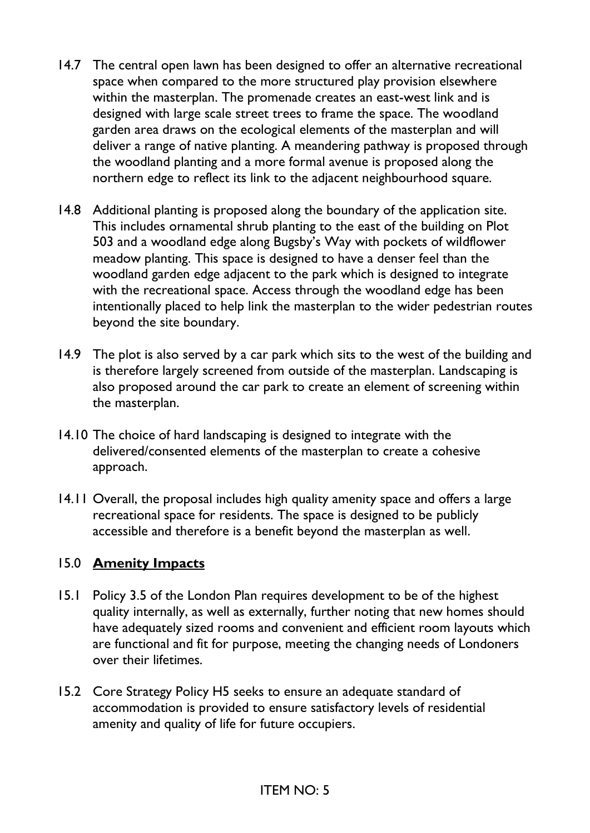- 14.7 The central open lawn has been designed to offer an alternative recreational space when compared to the more structured play provision elsewhere within the masterplan. The promenade creates an east-west link and is designed with large scale street trees to frame the space. The woodland garden area draws on the ecological elements of the masterplan and will deliver a range of native planting. A meandering pathway is proposed through the woodland planting and a more formal avenue is proposed along the northern edge to reflect its link to the adjacent neighbourhood square.
- 14.8 Additional planting is proposed along the boundary of the application site. This includes ornamental shrub planting to the east of the building on Plot 503 and a woodland edge along Bugsby's Way with pockets of wildflower meadow planting. This space is designed to have a denser feel than the woodland garden edge adjacent to the park which is designed to integrate with the recreational space. Access through the woodland edge has been intentionally placed to help link the masterplan to the wider pedestrian routes beyond the site boundary.
- 14.9 The plot is also served by a car park which sits to the west of the building and is therefore largely screened from outside of the masterplan. Landscaping is also proposed around the car park to create an element of screening within the masterplan.
- 14.10 The choice of hard landscaping is designed to integrate with the delivered/consented elements of the masterplan to create a cohesive approach.
- 14.11 Overall, the proposal includes high quality amenity space and offers a large recreational space for residents. The space is designed to be publicly accessible and therefore is a benefit beyond the masterplan as well.

### 15.0 **Amenity Impacts**

- 15.1 Policy 3.5 of the London Plan requires development to be of the highest quality internally, as well as externally, further noting that new homes should have adequately sized rooms and convenient and efficient room layouts which are functional and fit for purpose, meeting the changing needs of Londoners over their lifetimes.
- 15.2 Core Strategy Policy H5 seeks to ensure an adequate standard of accommodation is provided to ensure satisfactory levels of residential amenity and quality of life for future occupiers.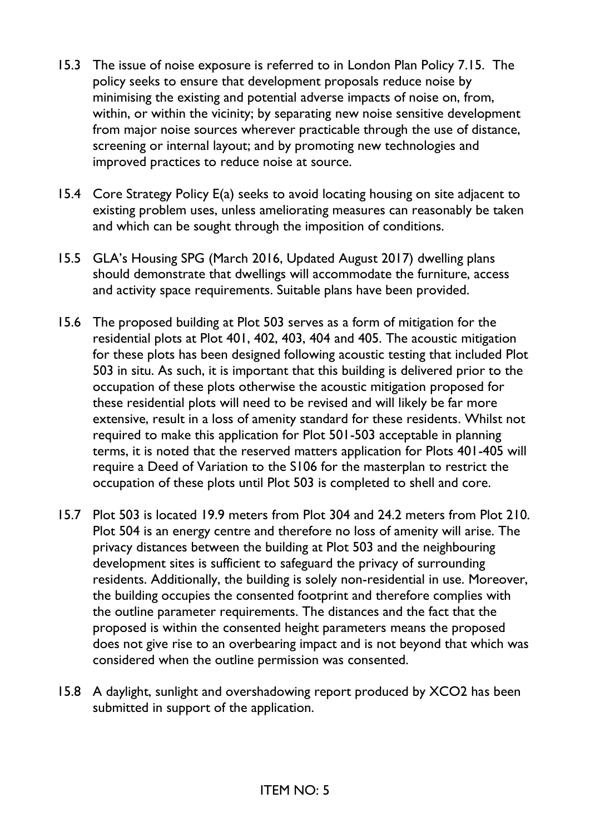- 15.3 The issue of noise exposure is referred to in London Plan Policy 7.15. The policy seeks to ensure that development proposals reduce noise by minimising the existing and potential adverse impacts of noise on, from, within, or within the vicinity; by separating new noise sensitive development from major noise sources wherever practicable through the use of distance, screening or internal layout; and by promoting new technologies and improved practices to reduce noise at source.
- 15.4 Core Strategy Policy E(a) seeks to avoid locating housing on site adjacent to existing problem uses, unless ameliorating measures can reasonably be taken and which can be sought through the imposition of conditions.
- 15.5 GLA's Housing SPG (March 2016, Updated August 2017) dwelling plans should demonstrate that dwellings will accommodate the furniture, access and activity space requirements. Suitable plans have been provided.
- 15.6 The proposed building at Plot 503 serves as a form of mitigation for the residential plots at Plot 401, 402, 403, 404 and 405. The acoustic mitigation for these plots has been designed following acoustic testing that included Plot 503 in situ. As such, it is important that this building is delivered prior to the occupation of these plots otherwise the acoustic mitigation proposed for these residential plots will need to be revised and will likely be far more extensive, result in a loss of amenity standard for these residents. Whilst not required to make this application for Plot 501-503 acceptable in planning terms, it is noted that the reserved matters application for Plots 401-405 will require a Deed of Variation to the S106 for the masterplan to restrict the occupation of these plots until Plot 503 is completed to shell and core.
- 15.7 Plot 503 is located 19.9 meters from Plot 304 and 24.2 meters from Plot 210. Plot 504 is an energy centre and therefore no loss of amenity will arise. The privacy distances between the building at Plot 503 and the neighbouring development sites is sufficient to safeguard the privacy of surrounding residents. Additionally, the building is solely non-residential in use. Moreover, the building occupies the consented footprint and therefore complies with the outline parameter requirements. The distances and the fact that the proposed is within the consented height parameters means the proposed does not give rise to an overbearing impact and is not beyond that which was considered when the outline permission was consented.
- 15.8 A daylight, sunlight and overshadowing report produced by XCO2 has been submitted in support of the application.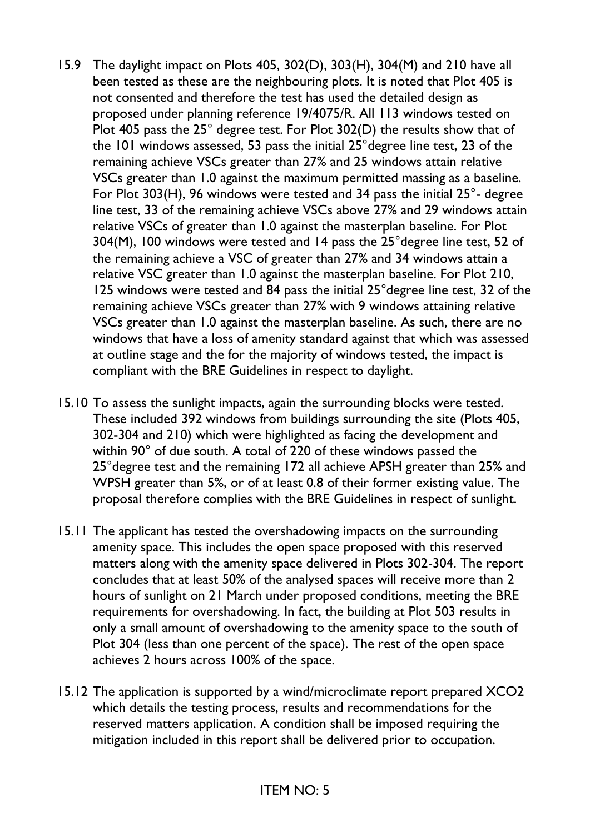- 15.9 The daylight impact on Plots 405, 302(D), 303(H), 304(M) and 210 have all been tested as these are the neighbouring plots. It is noted that Plot 405 is not consented and therefore the test has used the detailed design as proposed under planning reference 19/4075/R. All 113 windows tested on Plot 405 pass the 25° degree test. For Plot 302(D) the results show that of the 101 windows assessed, 53 pass the initial 25°degree line test, 23 of the remaining achieve VSCs greater than 27% and 25 windows attain relative VSCs greater than 1.0 against the maximum permitted massing as a baseline. For Plot 303(H), 96 windows were tested and 34 pass the initial 25°- degree line test, 33 of the remaining achieve VSCs above 27% and 29 windows attain relative VSCs of greater than 1.0 against the masterplan baseline. For Plot 304(M), 100 windows were tested and 14 pass the 25°degree line test, 52 of the remaining achieve a VSC of greater than 27% and 34 windows attain a relative VSC greater than 1.0 against the masterplan baseline. For Plot 210, 125 windows were tested and 84 pass the initial 25°degree line test, 32 of the remaining achieve VSCs greater than 27% with 9 windows attaining relative VSCs greater than 1.0 against the masterplan baseline. As such, there are no windows that have a loss of amenity standard against that which was assessed at outline stage and the for the majority of windows tested, the impact is compliant with the BRE Guidelines in respect to daylight.
- 15.10 To assess the sunlight impacts, again the surrounding blocks were tested. These included 392 windows from buildings surrounding the site (Plots 405, 302-304 and 210) which were highlighted as facing the development and within 90° of due south. A total of 220 of these windows passed the 25°degree test and the remaining 172 all achieve APSH greater than 25% and WPSH greater than 5%, or of at least 0.8 of their former existing value. The proposal therefore complies with the BRE Guidelines in respect of sunlight.
- 15.11 The applicant has tested the overshadowing impacts on the surrounding amenity space. This includes the open space proposed with this reserved matters along with the amenity space delivered in Plots 302-304. The report concludes that at least 50% of the analysed spaces will receive more than 2 hours of sunlight on 21 March under proposed conditions, meeting the BRE requirements for overshadowing. In fact, the building at Plot 503 results in only a small amount of overshadowing to the amenity space to the south of Plot 304 (less than one percent of the space). The rest of the open space achieves 2 hours across 100% of the space.
- 15.12 The application is supported by a wind/microclimate report prepared XCO2 which details the testing process, results and recommendations for the reserved matters application. A condition shall be imposed requiring the mitigation included in this report shall be delivered prior to occupation.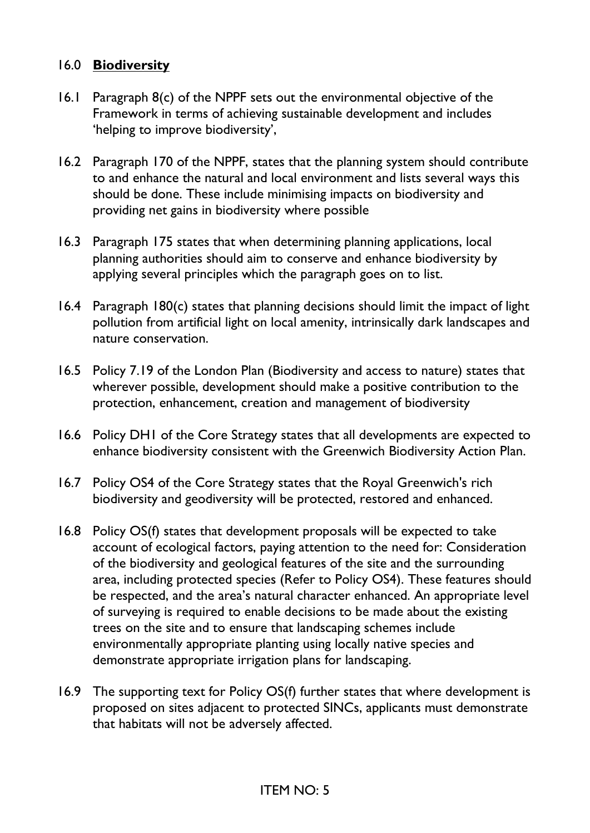### 16.0 **Biodiversity**

- 16.1 Paragraph 8(c) of the NPPF sets out the environmental objective of the Framework in terms of achieving sustainable development and includes 'helping to improve biodiversity',
- 16.2 Paragraph 170 of the NPPF, states that the planning system should contribute to and enhance the natural and local environment and lists several ways this should be done. These include minimising impacts on biodiversity and providing net gains in biodiversity where possible
- 16.3 Paragraph 175 states that when determining planning applications, local planning authorities should aim to conserve and enhance biodiversity by applying several principles which the paragraph goes on to list.
- 16.4 Paragraph 180(c) states that planning decisions should limit the impact of light pollution from artificial light on local amenity, intrinsically dark landscapes and nature conservation.
- 16.5 Policy 7.19 of the London Plan (Biodiversity and access to nature) states that wherever possible, development should make a positive contribution to the protection, enhancement, creation and management of biodiversity
- 16.6 Policy DH1 of the Core Strategy states that all developments are expected to enhance biodiversity consistent with the Greenwich Biodiversity Action Plan.
- 16.7 Policy OS4 of the Core Strategy states that the Royal Greenwich's rich biodiversity and geodiversity will be protected, restored and enhanced.
- 16.8 Policy OS(f) states that development proposals will be expected to take account of ecological factors, paying attention to the need for: Consideration of the biodiversity and geological features of the site and the surrounding area, including protected species (Refer to Policy OS4). These features should be respected, and the area's natural character enhanced. An appropriate level of surveying is required to enable decisions to be made about the existing trees on the site and to ensure that landscaping schemes include environmentally appropriate planting using locally native species and demonstrate appropriate irrigation plans for landscaping.
- 16.9 The supporting text for Policy OS(f) further states that where development is proposed on sites adjacent to protected SINCs, applicants must demonstrate that habitats will not be adversely affected.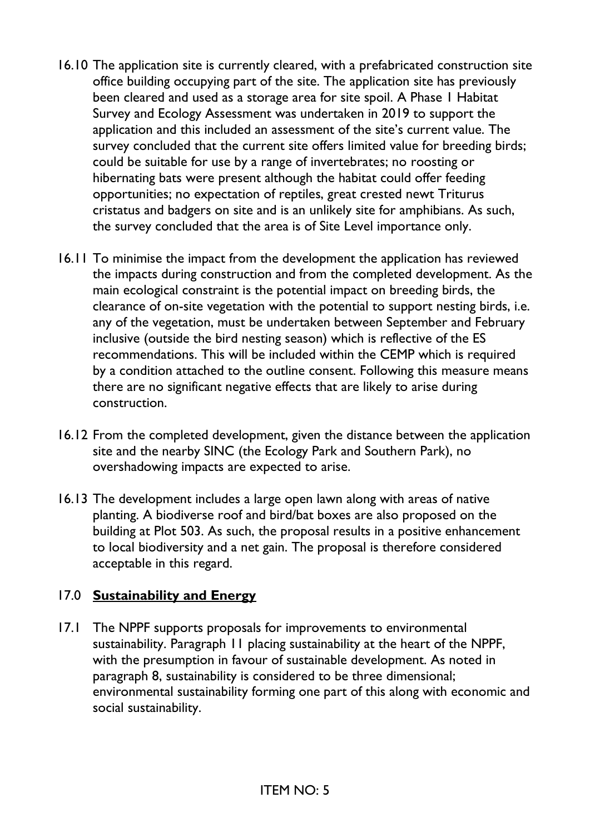- 16.10 The application site is currently cleared, with a prefabricated construction site office building occupying part of the site. The application site has previously been cleared and used as a storage area for site spoil. A Phase 1 Habitat Survey and Ecology Assessment was undertaken in 2019 to support the application and this included an assessment of the site's current value. The survey concluded that the current site offers limited value for breeding birds; could be suitable for use by a range of invertebrates; no roosting or hibernating bats were present although the habitat could offer feeding opportunities; no expectation of reptiles, great crested newt Triturus cristatus and badgers on site and is an unlikely site for amphibians. As such, the survey concluded that the area is of Site Level importance only.
- 16.11 To minimise the impact from the development the application has reviewed the impacts during construction and from the completed development. As the main ecological constraint is the potential impact on breeding birds, the clearance of on-site vegetation with the potential to support nesting birds, i.e. any of the vegetation, must be undertaken between September and February inclusive (outside the bird nesting season) which is reflective of the ES recommendations. This will be included within the CEMP which is required by a condition attached to the outline consent. Following this measure means there are no significant negative effects that are likely to arise during construction.
- 16.12 From the completed development, given the distance between the application site and the nearby SINC (the Ecology Park and Southern Park), no overshadowing impacts are expected to arise.
- 16.13 The development includes a large open lawn along with areas of native planting. A biodiverse roof and bird/bat boxes are also proposed on the building at Plot 503. As such, the proposal results in a positive enhancement to local biodiversity and a net gain. The proposal is therefore considered acceptable in this regard.

### 17.0 **Sustainability and Energy**

17.1 The NPPF supports proposals for improvements to environmental sustainability. Paragraph 11 placing sustainability at the heart of the NPPF, with the presumption in favour of sustainable development. As noted in paragraph 8, sustainability is considered to be three dimensional; environmental sustainability forming one part of this along with economic and social sustainability.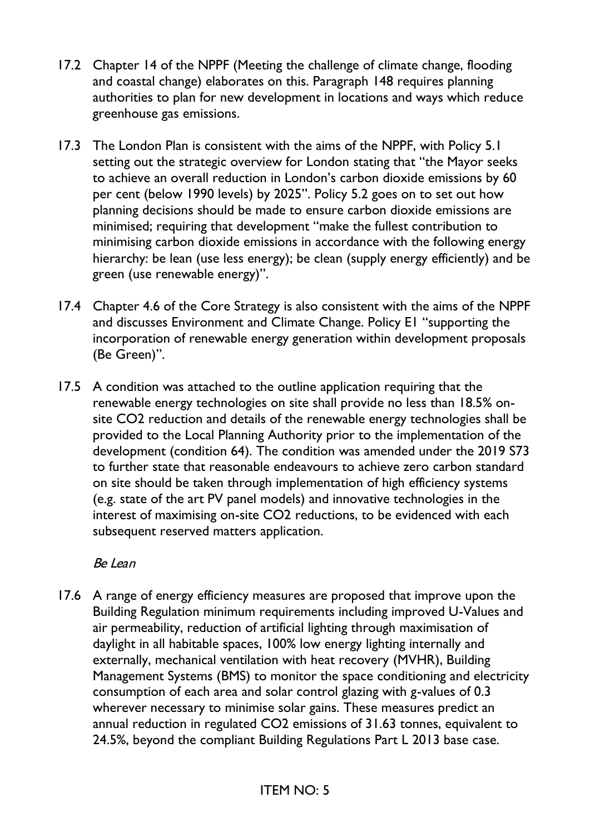- 17.2 Chapter 14 of the NPPF (Meeting the challenge of climate change, flooding and coastal change) elaborates on this. Paragraph 148 requires planning authorities to plan for new development in locations and ways which reduce greenhouse gas emissions.
- 17.3 The London Plan is consistent with the aims of the NPPF, with Policy 5.1 setting out the strategic overview for London stating that "the Mayor seeks to achieve an overall reduction in London's carbon dioxide emissions by 60 per cent (below 1990 levels) by 2025". Policy 5.2 goes on to set out how planning decisions should be made to ensure carbon dioxide emissions are minimised; requiring that development "make the fullest contribution to minimising carbon dioxide emissions in accordance with the following energy hierarchy: be lean (use less energy); be clean (supply energy efficiently) and be green (use renewable energy)".
- 17.4 Chapter 4.6 of the Core Strategy is also consistent with the aims of the NPPF and discusses Environment and Climate Change. Policy E1 "supporting the incorporation of renewable energy generation within development proposals (Be Green)".
- 17.5 A condition was attached to the outline application requiring that the renewable energy technologies on site shall provide no less than 18.5% onsite CO2 reduction and details of the renewable energy technologies shall be provided to the Local Planning Authority prior to the implementation of the development (condition 64). The condition was amended under the 2019 S73 to further state that reasonable endeavours to achieve zero carbon standard on site should be taken through implementation of high efficiency systems (e.g. state of the art PV panel models) and innovative technologies in the interest of maximising on-site CO2 reductions, to be evidenced with each subsequent reserved matters application.

### Be Lean

17.6 A range of energy efficiency measures are proposed that improve upon the Building Regulation minimum requirements including improved U-Values and air permeability, reduction of artificial lighting through maximisation of daylight in all habitable spaces, 100% low energy lighting internally and externally, mechanical ventilation with heat recovery (MVHR), Building Management Systems (BMS) to monitor the space conditioning and electricity consumption of each area and solar control glazing with g-values of 0.3 wherever necessary to minimise solar gains. These measures predict an annual reduction in regulated CO2 emissions of 31.63 tonnes, equivalent to 24.5%, beyond the compliant Building Regulations Part L 2013 base case.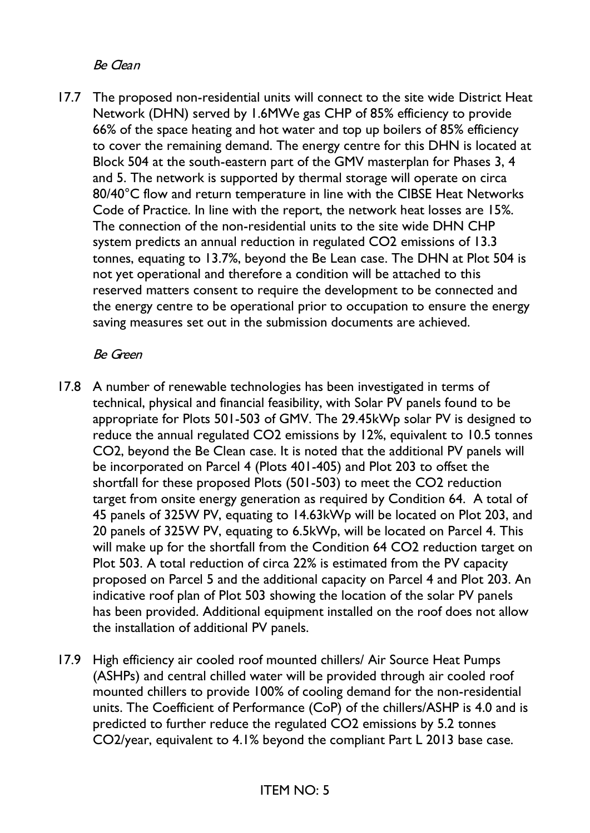Be Clean

17.7 The proposed non-residential units will connect to the site wide District Heat Network (DHN) served by 1.6MWe gas CHP of 85% efficiency to provide 66% of the space heating and hot water and top up boilers of 85% efficiency to cover the remaining demand. The energy centre for this DHN is located at Block 504 at the south-eastern part of the GMV masterplan for Phases 3, 4 and 5. The network is supported by thermal storage will operate on circa 80/40°C flow and return temperature in line with the CIBSE Heat Networks Code of Practice. In line with the report, the network heat losses are 15%. The connection of the non-residential units to the site wide DHN CHP system predicts an annual reduction in regulated CO2 emissions of 13.3 tonnes, equating to 13.7%, beyond the Be Lean case. The DHN at Plot 504 is not yet operational and therefore a condition will be attached to this reserved matters consent to require the development to be connected and the energy centre to be operational prior to occupation to ensure the energy saving measures set out in the submission documents are achieved.

### Be Green

- 17.8 A number of renewable technologies has been investigated in terms of technical, physical and financial feasibility, with Solar PV panels found to be appropriate for Plots 501-503 of GMV. The 29.45kWp solar PV is designed to reduce the annual regulated CO2 emissions by 12%, equivalent to 10.5 tonnes CO2, beyond the Be Clean case. It is noted that the additional PV panels will be incorporated on Parcel 4 (Plots 401-405) and Plot 203 to offset the shortfall for these proposed Plots (501-503) to meet the CO2 reduction target from onsite energy generation as required by Condition 64. A total of 45 panels of 325W PV, equating to 14.63kWp will be located on Plot 203, and 20 panels of 325W PV, equating to 6.5kWp, will be located on Parcel 4. This will make up for the shortfall from the Condition 64 CO2 reduction target on Plot 503. A total reduction of circa 22% is estimated from the PV capacity proposed on Parcel 5 and the additional capacity on Parcel 4 and Plot 203. An indicative roof plan of Plot 503 showing the location of the solar PV panels has been provided. Additional equipment installed on the roof does not allow the installation of additional PV panels.
- 17.9 High efficiency air cooled roof mounted chillers/ Air Source Heat Pumps (ASHPs) and central chilled water will be provided through air cooled roof mounted chillers to provide 100% of cooling demand for the non-residential units. The Coefficient of Performance (CoP) of the chillers/ASHP is 4.0 and is predicted to further reduce the regulated CO2 emissions by 5.2 tonnes CO2/year, equivalent to 4.1% beyond the compliant Part L 2013 base case.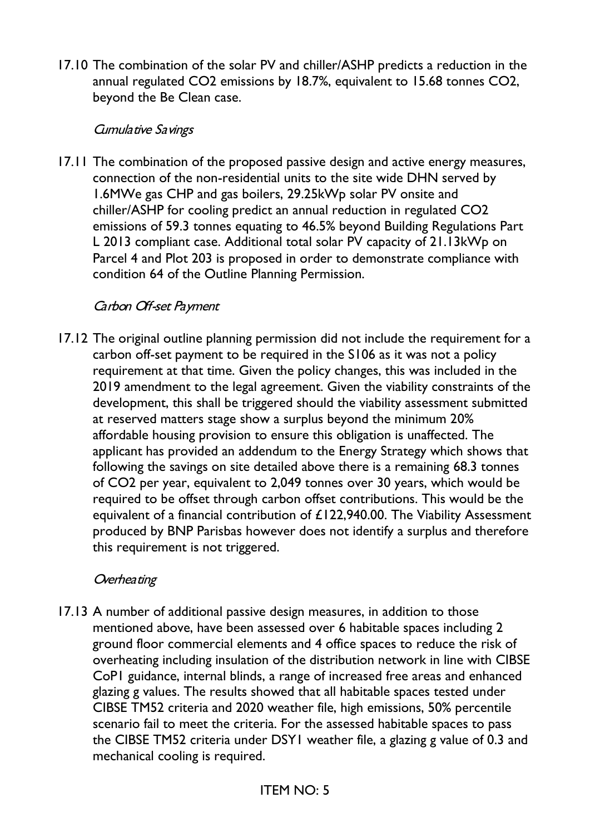17.10 The combination of the solar PV and chiller/ASHP predicts a reduction in the annual regulated CO2 emissions by 18.7%, equivalent to 15.68 tonnes CO2, beyond the Be Clean case.

#### Cumulative Savings

17.11 The combination of the proposed passive design and active energy measures, connection of the non-residential units to the site wide DHN served by 1.6MWe gas CHP and gas boilers, 29.25kWp solar PV onsite and chiller/ASHP for cooling predict an annual reduction in regulated CO2 emissions of 59.3 tonnes equating to 46.5% beyond Building Regulations Part L 2013 compliant case. Additional total solar PV capacity of 21.13kWp on Parcel 4 and Plot 203 is proposed in order to demonstrate compliance with condition 64 of the Outline Planning Permission.

### Carbon Off-set Payment

17.12 The original outline planning permission did not include the requirement for a carbon off-set payment to be required in the S106 as it was not a policy requirement at that time. Given the policy changes, this was included in the 2019 amendment to the legal agreement. Given the viability constraints of the development, this shall be triggered should the viability assessment submitted at reserved matters stage show a surplus beyond the minimum 20% affordable housing provision to ensure this obligation is unaffected. The applicant has provided an addendum to the Energy Strategy which shows that following the savings on site detailed above there is a remaining 68.3 tonnes of CO2 per year, equivalent to 2,049 tonnes over 30 years, which would be required to be offset through carbon offset contributions. This would be the equivalent of a financial contribution of £122,940.00. The Viability Assessment produced by BNP Parisbas however does not identify a surplus and therefore this requirement is not triggered.

#### Overhea ting

17.13 A number of additional passive design measures, in addition to those mentioned above, have been assessed over 6 habitable spaces including 2 ground floor commercial elements and 4 office spaces to reduce the risk of overheating including insulation of the distribution network in line with CIBSE CoP1 guidance, internal blinds, a range of increased free areas and enhanced glazing g values. The results showed that all habitable spaces tested under CIBSE TM52 criteria and 2020 weather file, high emissions, 50% percentile scenario fail to meet the criteria. For the assessed habitable spaces to pass the CIBSE TM52 criteria under DSY1 weather file, a glazing g value of 0.3 and mechanical cooling is required.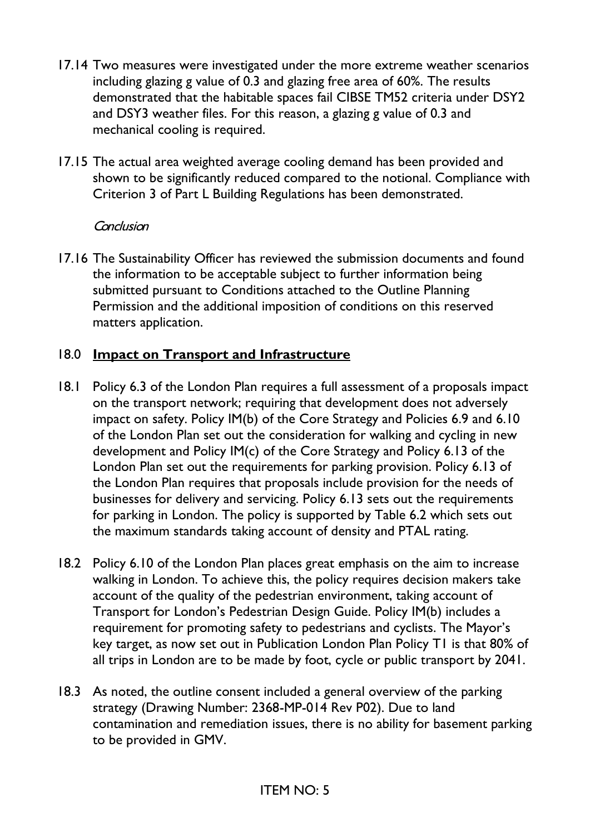- 17.14 Two measures were investigated under the more extreme weather scenarios including glazing g value of 0.3 and glazing free area of 60%. The results demonstrated that the habitable spaces fail CIBSE TM52 criteria under DSY2 and DSY3 weather files. For this reason, a glazing g value of 0.3 and mechanical cooling is required.
- 17.15 The actual area weighted average cooling demand has been provided and shown to be significantly reduced compared to the notional. Compliance with Criterion 3 of Part L Building Regulations has been demonstrated.

#### **Conclusion**

17.16 The Sustainability Officer has reviewed the submission documents and found the information to be acceptable subject to further information being submitted pursuant to Conditions attached to the Outline Planning Permission and the additional imposition of conditions on this reserved matters application.

### 18.0 **Impact on Transport and Infrastructure**

- 18.1 Policy 6.3 of the London Plan requires a full assessment of a proposals impact on the transport network; requiring that development does not adversely impact on safety. Policy IM(b) of the Core Strategy and Policies 6.9 and 6.10 of the London Plan set out the consideration for walking and cycling in new development and Policy IM(c) of the Core Strategy and Policy 6.13 of the London Plan set out the requirements for parking provision. Policy 6.13 of the London Plan requires that proposals include provision for the needs of businesses for delivery and servicing. Policy 6.13 sets out the requirements for parking in London. The policy is supported by Table 6.2 which sets out the maximum standards taking account of density and PTAL rating.
- 18.2 Policy 6.10 of the London Plan places great emphasis on the aim to increase walking in London. To achieve this, the policy requires decision makers take account of the quality of the pedestrian environment, taking account of Transport for London's Pedestrian Design Guide. Policy IM(b) includes a requirement for promoting safety to pedestrians and cyclists. The Mayor's key target, as now set out in Publication London Plan Policy T1 is that 80% of all trips in London are to be made by foot, cycle or public transport by 2041.
- 18.3 As noted, the outline consent included a general overview of the parking strategy (Drawing Number: 2368-MP-014 Rev P02). Due to land contamination and remediation issues, there is no ability for basement parking to be provided in GMV.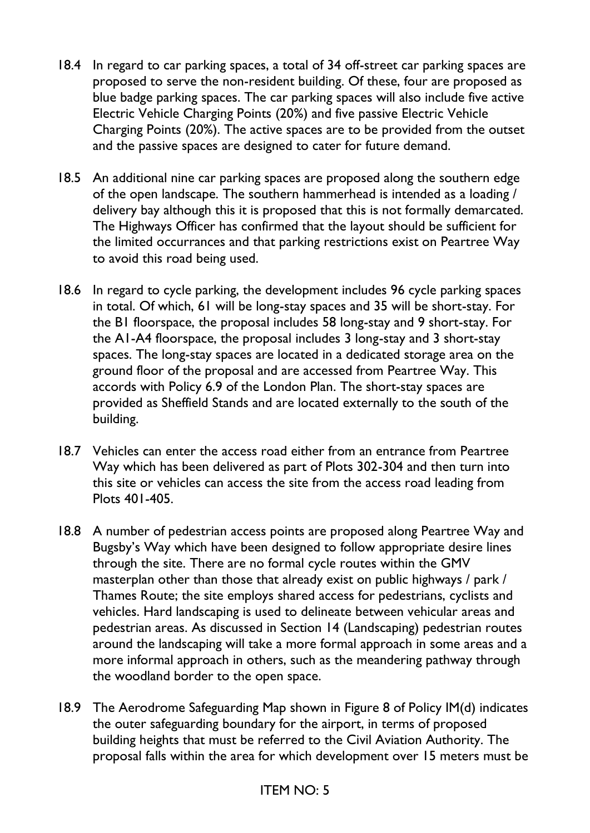- 18.4 In regard to car parking spaces, a total of 34 off-street car parking spaces are proposed to serve the non-resident building. Of these, four are proposed as blue badge parking spaces. The car parking spaces will also include five active Electric Vehicle Charging Points (20%) and five passive Electric Vehicle Charging Points (20%). The active spaces are to be provided from the outset and the passive spaces are designed to cater for future demand.
- 18.5 An additional nine car parking spaces are proposed along the southern edge of the open landscape. The southern hammerhead is intended as a loading / delivery bay although this it is proposed that this is not formally demarcated. The Highways Officer has confirmed that the layout should be sufficient for the limited occurrances and that parking restrictions exist on Peartree Way to avoid this road being used.
- 18.6 In regard to cycle parking, the development includes 96 cycle parking spaces in total. Of which, 61 will be long-stay spaces and 35 will be short-stay. For the B1 floorspace, the proposal includes 58 long-stay and 9 short-stay. For the A1-A4 floorspace, the proposal includes 3 long-stay and 3 short-stay spaces. The long-stay spaces are located in a dedicated storage area on the ground floor of the proposal and are accessed from Peartree Way. This accords with Policy 6.9 of the London Plan. The short-stay spaces are provided as Sheffield Stands and are located externally to the south of the building.
- 18.7 Vehicles can enter the access road either from an entrance from Peartree Way which has been delivered as part of Plots 302-304 and then turn into this site or vehicles can access the site from the access road leading from Plots 401-405.
- 18.8 A number of pedestrian access points are proposed along Peartree Way and Bugsby's Way which have been designed to follow appropriate desire lines through the site. There are no formal cycle routes within the GMV masterplan other than those that already exist on public highways / park / Thames Route; the site employs shared access for pedestrians, cyclists and vehicles. Hard landscaping is used to delineate between vehicular areas and pedestrian areas. As discussed in Section 14 (Landscaping) pedestrian routes around the landscaping will take a more formal approach in some areas and a more informal approach in others, such as the meandering pathway through the woodland border to the open space.
- 18.9 The Aerodrome Safeguarding Map shown in Figure 8 of Policy IM(d) indicates the outer safeguarding boundary for the airport, in terms of proposed building heights that must be referred to the Civil Aviation Authority. The proposal falls within the area for which development over 15 meters must be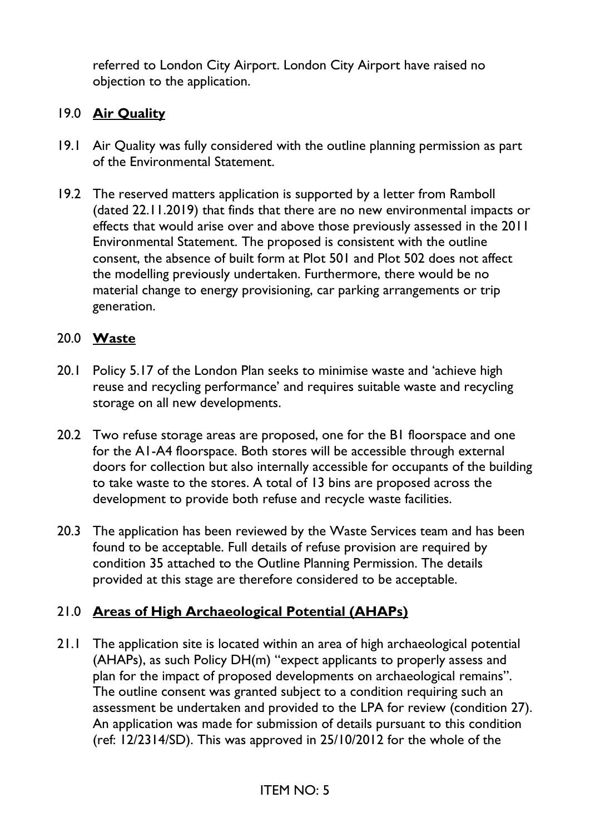referred to London City Airport. London City Airport have raised no objection to the application.

### 19.0 **Air Quality**

- 19.1 Air Quality was fully considered with the outline planning permission as part of the Environmental Statement.
- 19.2 The reserved matters application is supported by a letter from Ramboll (dated 22.11.2019) that finds that there are no new environmental impacts or effects that would arise over and above those previously assessed in the 2011 Environmental Statement. The proposed is consistent with the outline consent, the absence of built form at Plot 501 and Plot 502 does not affect the modelling previously undertaken. Furthermore, there would be no material change to energy provisioning, car parking arrangements or trip generation.

### 20.0 **Waste**

- 20.1 Policy 5.17 of the London Plan seeks to minimise waste and 'achieve high reuse and recycling performance' and requires suitable waste and recycling storage on all new developments.
- 20.2 Two refuse storage areas are proposed, one for the B1 floorspace and one for the A1-A4 floorspace. Both stores will be accessible through external doors for collection but also internally accessible for occupants of the building to take waste to the stores. A total of 13 bins are proposed across the development to provide both refuse and recycle waste facilities.
- 20.3 The application has been reviewed by the Waste Services team and has been found to be acceptable. Full details of refuse provision are required by condition 35 attached to the Outline Planning Permission. The details provided at this stage are therefore considered to be acceptable.

### 21.0 **Areas of High Archaeological Potential (AHAPs)**

21.1 The application site is located within an area of high archaeological potential (AHAPs), as such Policy DH(m) "expect applicants to properly assess and plan for the impact of proposed developments on archaeological remains". The outline consent was granted subject to a condition requiring such an assessment be undertaken and provided to the LPA for review (condition 27). An application was made for submission of details pursuant to this condition (ref: 12/2314/SD). This was approved in 25/10/2012 for the whole of the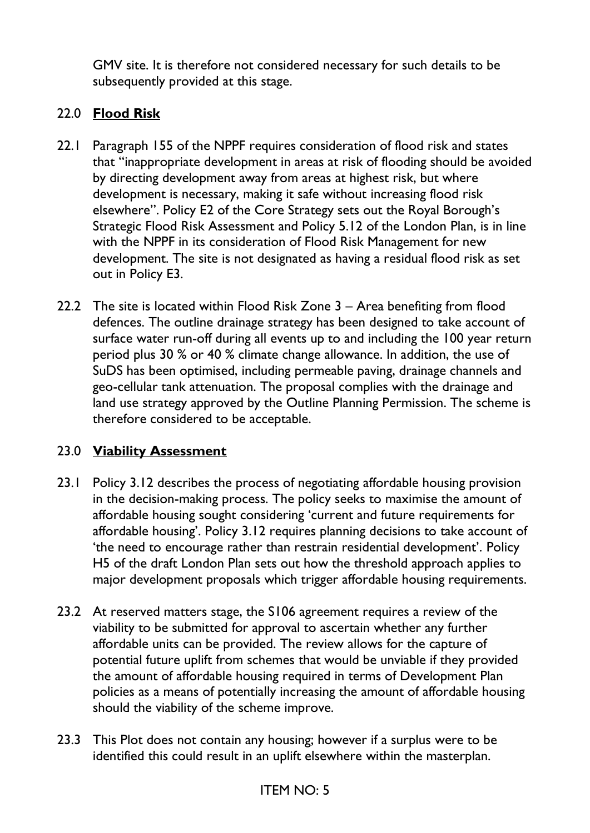GMV site. It is therefore not considered necessary for such details to be subsequently provided at this stage.

## 22.0 **Flood Risk**

- 22.1 Paragraph 155 of the NPPF requires consideration of flood risk and states that "inappropriate development in areas at risk of flooding should be avoided by directing development away from areas at highest risk, but where development is necessary, making it safe without increasing flood risk elsewhere". Policy E2 of the Core Strategy sets out the Royal Borough's Strategic Flood Risk Assessment and Policy 5.12 of the London Plan, is in line with the NPPF in its consideration of Flood Risk Management for new development. The site is not designated as having a residual flood risk as set out in Policy E3.
- 22.2 The site is located within Flood Risk Zone 3 Area benefiting from flood defences. The outline drainage strategy has been designed to take account of surface water run-off during all events up to and including the 100 year return period plus 30 % or 40 % climate change allowance. In addition, the use of SuDS has been optimised, including permeable paving, drainage channels and geo-cellular tank attenuation. The proposal complies with the drainage and land use strategy approved by the Outline Planning Permission. The scheme is therefore considered to be acceptable.

### 23.0 **Viability Assessment**

- 23.1 Policy 3.12 describes the process of negotiating affordable housing provision in the decision-making process. The policy seeks to maximise the amount of affordable housing sought considering 'current and future requirements for affordable housing'. Policy 3.12 requires planning decisions to take account of 'the need to encourage rather than restrain residential development'. Policy H5 of the draft London Plan sets out how the threshold approach applies to major development proposals which trigger affordable housing requirements.
- 23.2 At reserved matters stage, the S106 agreement requires a review of the viability to be submitted for approval to ascertain whether any further affordable units can be provided. The review allows for the capture of potential future uplift from schemes that would be unviable if they provided the amount of affordable housing required in terms of Development Plan policies as a means of potentially increasing the amount of affordable housing should the viability of the scheme improve.
- 23.3 This Plot does not contain any housing; however if a surplus were to be identified this could result in an uplift elsewhere within the masterplan.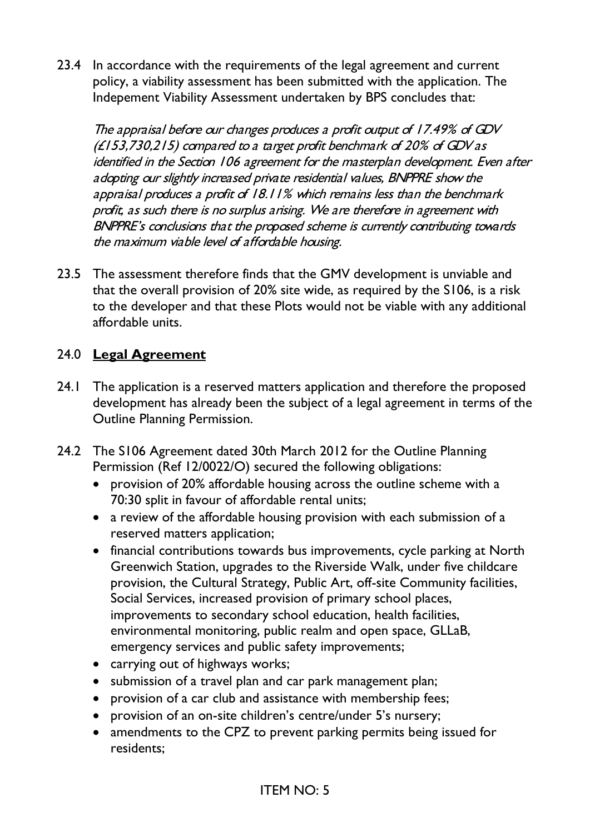23.4 In accordance with the requirements of the legal agreement and current policy, a viability assessment has been submitted with the application. The Indepement Viability Assessment undertaken by BPS concludes that:

The appraisal before our changes produces a profit output of 17.49% of GDV (£153,730,215) compared to a target profit benchmark of 20% of GDV as identified in the Section 106 agreement for the masterplan development. Even after adopting our slightly increased private residential values, BNPPRE show the appraisal produces a profit of 18.11% which remains less than the benchmark profit, as such there is no surplus arising. We are therefore in agreement with BNPPRE's conclusions that the proposed scheme is currently contributing towards the maximum viable level of affordable housing.

23.5 The assessment therefore finds that the GMV development is unviable and that the overall provision of 20% site wide, as required by the S106, is a risk to the developer and that these Plots would not be viable with any additional affordable units.

### 24.0 **Legal Agreement**

- 24.1 The application is a reserved matters application and therefore the proposed development has already been the subject of a legal agreement in terms of the Outline Planning Permission.
- 24.2 The S106 Agreement dated 30th March 2012 for the Outline Planning Permission (Ref 12/0022/O) secured the following obligations:
	- provision of 20% affordable housing across the outline scheme with a 70:30 split in favour of affordable rental units;
	- a review of the affordable housing provision with each submission of a reserved matters application;
	- financial contributions towards bus improvements, cycle parking at North Greenwich Station, upgrades to the Riverside Walk, under five childcare provision, the Cultural Strategy, Public Art, off-site Community facilities, Social Services, increased provision of primary school places, improvements to secondary school education, health facilities, environmental monitoring, public realm and open space, GLLaB, emergency services and public safety improvements;
	- carrying out of highways works;
	- submission of a travel plan and car park management plan;
	- provision of a car club and assistance with membership fees:
	- provision of an on-site children's centre/under 5's nursery;
	- amendments to the CPZ to prevent parking permits being issued for residents;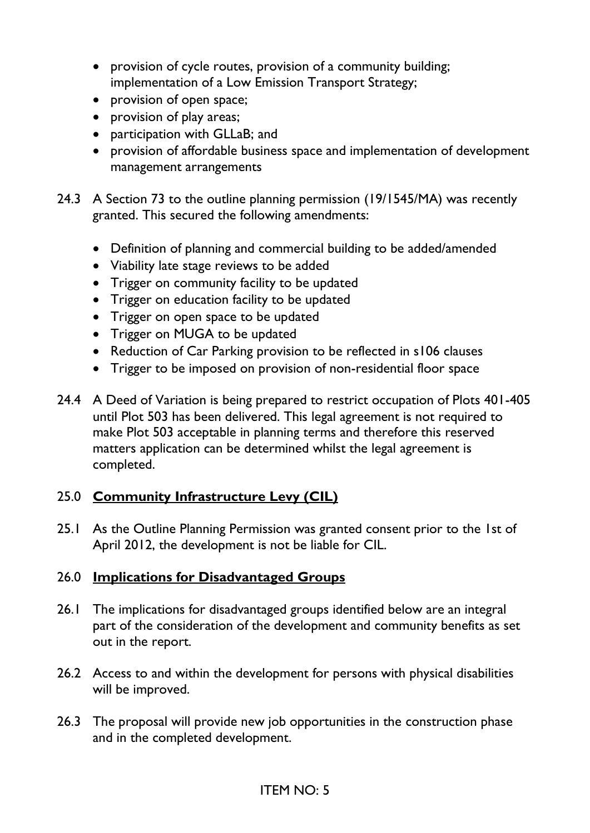- provision of cycle routes, provision of a community building; implementation of a Low Emission Transport Strategy;
- provision of open space;
- provision of play areas;
- participation with GLLaB; and
- provision of affordable business space and implementation of development management arrangements
- 24.3 A Section 73 to the outline planning permission (19/1545/MA) was recently granted. This secured the following amendments:
	- Definition of planning and commercial building to be added/amended
	- Viability late stage reviews to be added
	- Trigger on community facility to be updated
	- Trigger on education facility to be updated
	- Trigger on open space to be updated
	- Trigger on MUGA to be updated
	- Reduction of Car Parking provision to be reflected in s106 clauses
	- Trigger to be imposed on provision of non-residential floor space
- 24.4 A Deed of Variation is being prepared to restrict occupation of Plots 401-405 until Plot 503 has been delivered. This legal agreement is not required to make Plot 503 acceptable in planning terms and therefore this reserved matters application can be determined whilst the legal agreement is completed.

### 25.0 **Community Infrastructure Levy (CIL)**

25.1 As the Outline Planning Permission was granted consent prior to the 1st of April 2012, the development is not be liable for CIL.

### 26.0 **Implications for Disadvantaged Groups**

- 26.1 The implications for disadvantaged groups identified below are an integral part of the consideration of the development and community benefits as set out in the report.
- 26.2 Access to and within the development for persons with physical disabilities will be improved.
- 26.3 The proposal will provide new job opportunities in the construction phase and in the completed development.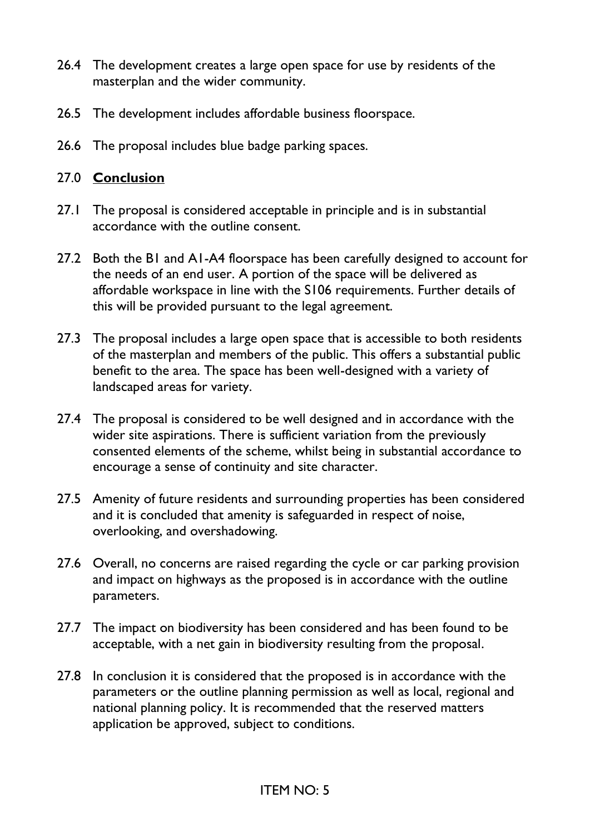- 26.4 The development creates a large open space for use by residents of the masterplan and the wider community.
- 26.5 The development includes affordable business floorspace.
- 26.6 The proposal includes blue badge parking spaces.

### 27.0 **Conclusion**

- 27.1 The proposal is considered acceptable in principle and is in substantial accordance with the outline consent.
- 27.2 Both the B1 and A1-A4 floorspace has been carefully designed to account for the needs of an end user. A portion of the space will be delivered as affordable workspace in line with the S106 requirements. Further details of this will be provided pursuant to the legal agreement.
- 27.3 The proposal includes a large open space that is accessible to both residents of the masterplan and members of the public. This offers a substantial public benefit to the area. The space has been well-designed with a variety of landscaped areas for variety.
- 27.4 The proposal is considered to be well designed and in accordance with the wider site aspirations. There is sufficient variation from the previously consented elements of the scheme, whilst being in substantial accordance to encourage a sense of continuity and site character.
- 27.5 Amenity of future residents and surrounding properties has been considered and it is concluded that amenity is safeguarded in respect of noise, overlooking, and overshadowing.
- 27.6 Overall, no concerns are raised regarding the cycle or car parking provision and impact on highways as the proposed is in accordance with the outline parameters.
- 27.7 The impact on biodiversity has been considered and has been found to be acceptable, with a net gain in biodiversity resulting from the proposal.
- 27.8 In conclusion it is considered that the proposed is in accordance with the parameters or the outline planning permission as well as local, regional and national planning policy. It is recommended that the reserved matters application be approved, subject to conditions.